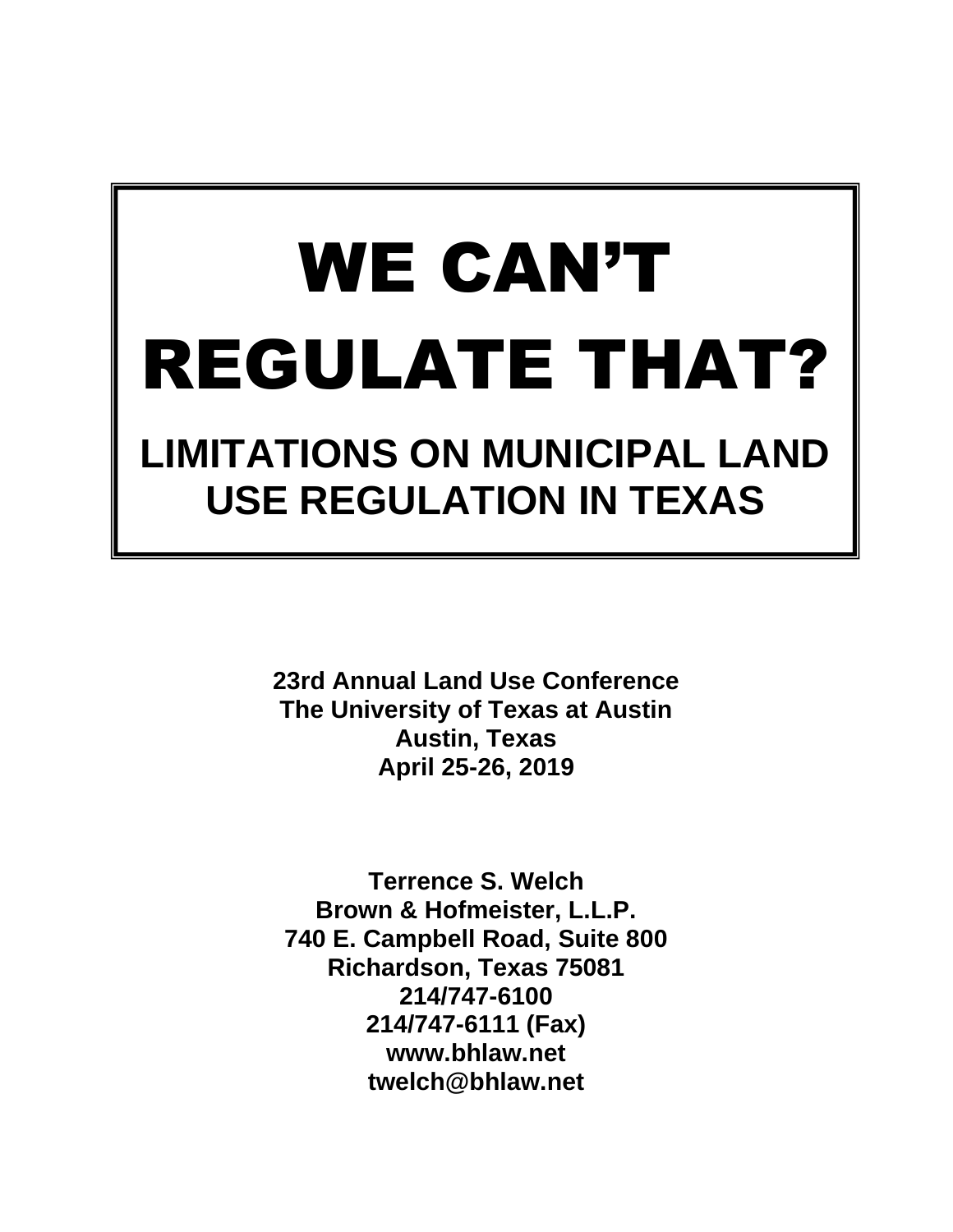# WE CAN'T REGULATE THAT? **LIMITATIONS ON MUNICIPAL LAND**

**USE REGULATION IN TEXAS**

**23rd Annual Land Use Conference The University of Texas at Austin Austin, Texas April 25-26, 2019**

**Terrence S. Welch Brown & Hofmeister, L.L.P. 740 E. Campbell Road, Suite 800 Richardson, Texas 75081 214/747-6100 214/747-6111 (Fax) www.bhlaw.net twelch@bhlaw.net**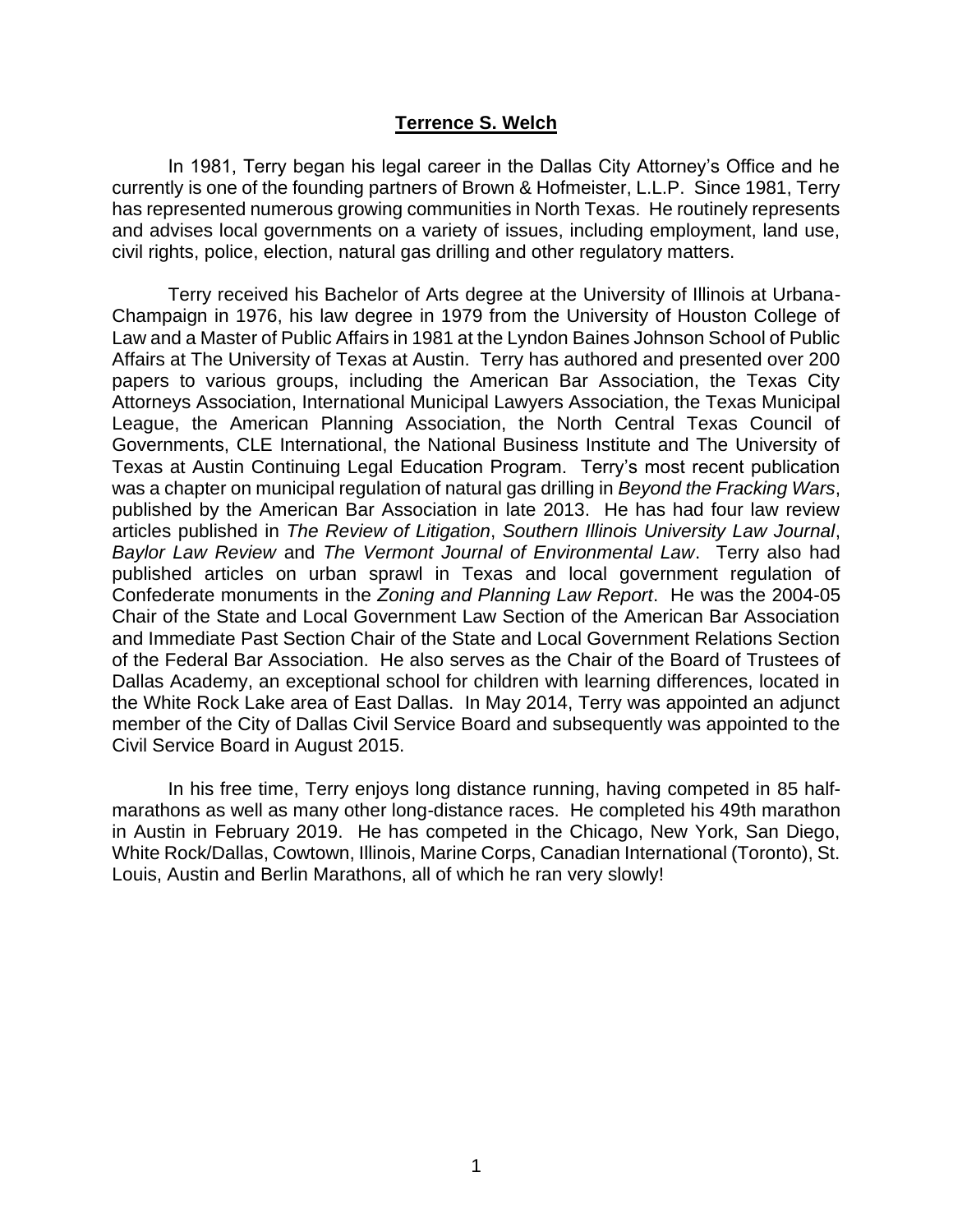#### **Terrence S. Welch**

In 1981, Terry began his legal career in the Dallas City Attorney's Office and he currently is one of the founding partners of Brown & Hofmeister, L.L.P. Since 1981, Terry has represented numerous growing communities in North Texas. He routinely represents and advises local governments on a variety of issues, including employment, land use, civil rights, police, election, natural gas drilling and other regulatory matters.

Terry received his Bachelor of Arts degree at the University of Illinois at Urbana-Champaign in 1976, his law degree in 1979 from the University of Houston College of Law and a Master of Public Affairs in 1981 at the Lyndon Baines Johnson School of Public Affairs at The University of Texas at Austin. Terry has authored and presented over 200 papers to various groups, including the American Bar Association, the Texas City Attorneys Association, International Municipal Lawyers Association, the Texas Municipal League, the American Planning Association, the North Central Texas Council of Governments, CLE International, the National Business Institute and The University of Texas at Austin Continuing Legal Education Program. Terry's most recent publication was a chapter on municipal regulation of natural gas drilling in *Beyond the Fracking Wars*, published by the American Bar Association in late 2013. He has had four law review articles published in *The Review of Litigation*, *Southern Illinois University Law Journal*, *Baylor Law Review* and *The Vermont Journal of Environmental Law*. Terry also had published articles on urban sprawl in Texas and local government regulation of Confederate monuments in the *Zoning and Planning Law Report*. He was the 2004-05 Chair of the State and Local Government Law Section of the American Bar Association and Immediate Past Section Chair of the State and Local Government Relations Section of the Federal Bar Association. He also serves as the Chair of the Board of Trustees of Dallas Academy, an exceptional school for children with learning differences, located in the White Rock Lake area of East Dallas. In May 2014, Terry was appointed an adjunct member of the City of Dallas Civil Service Board and subsequently was appointed to the Civil Service Board in August 2015.

In his free time, Terry enjoys long distance running, having competed in 85 halfmarathons as well as many other long-distance races. He completed his 49th marathon in Austin in February 2019. He has competed in the Chicago, New York, San Diego, White Rock/Dallas, Cowtown, Illinois, Marine Corps, Canadian International (Toronto), St. Louis, Austin and Berlin Marathons, all of which he ran very slowly!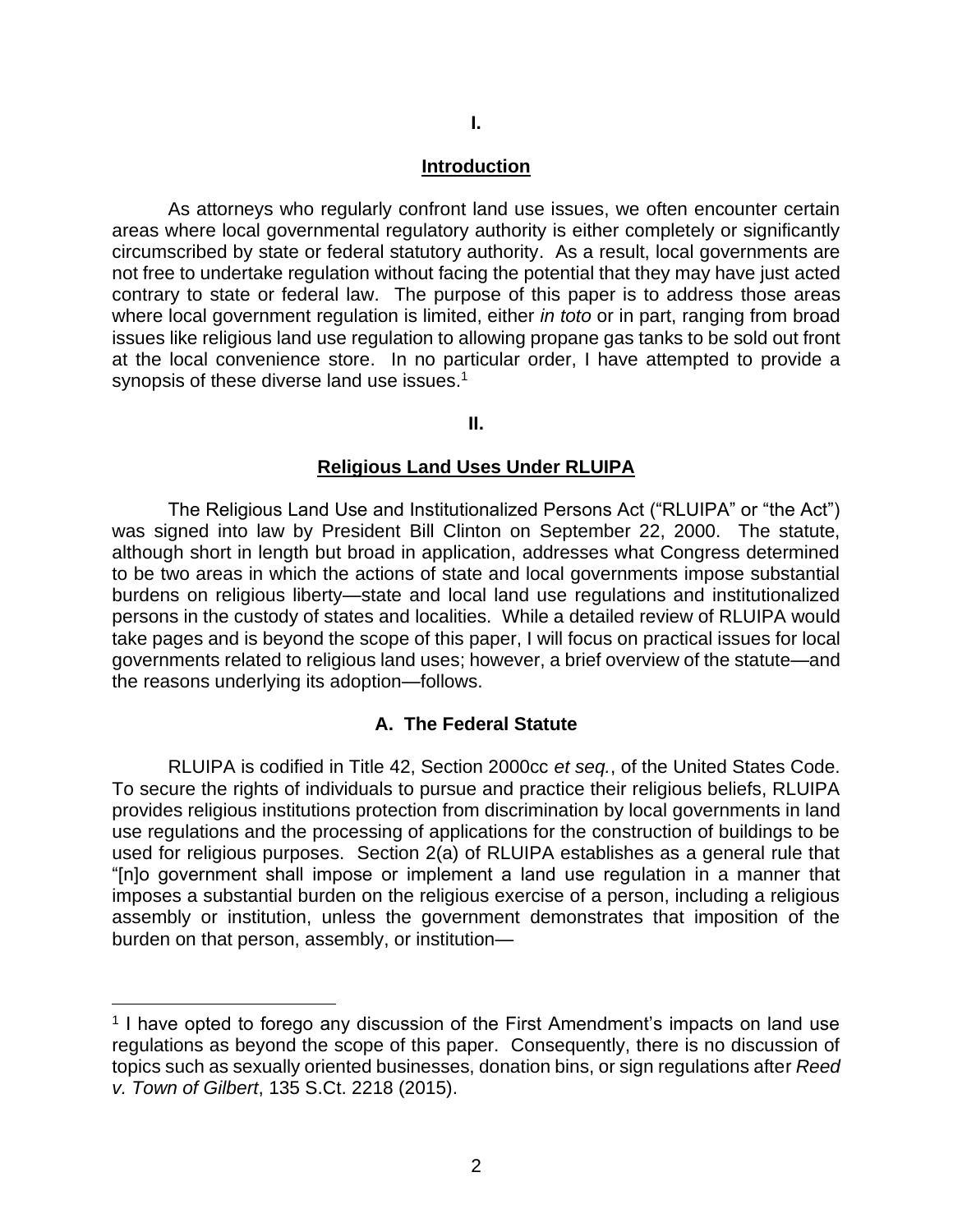#### **Introduction**

As attorneys who regularly confront land use issues, we often encounter certain areas where local governmental regulatory authority is either completely or significantly circumscribed by state or federal statutory authority. As a result, local governments are not free to undertake regulation without facing the potential that they may have just acted contrary to state or federal law. The purpose of this paper is to address those areas where local government regulation is limited, either *in toto* or in part, ranging from broad issues like religious land use regulation to allowing propane gas tanks to be sold out front at the local convenience store. In no particular order, I have attempted to provide a synopsis of these diverse land use issues.<sup>1</sup>

**II.**

#### **Religious Land Uses Under RLUIPA**

The Religious Land Use and Institutionalized Persons Act ("RLUIPA" or "the Act") was signed into law by President Bill Clinton on September 22, 2000. The statute, although short in length but broad in application, addresses what Congress determined to be two areas in which the actions of state and local governments impose substantial burdens on religious liberty—state and local land use regulations and institutionalized persons in the custody of states and localities. While a detailed review of RLUIPA would take pages and is beyond the scope of this paper, I will focus on practical issues for local governments related to religious land uses; however, a brief overview of the statute—and the reasons underlying its adoption—follows.

#### **A. The Federal Statute**

RLUIPA is codified in Title 42, Section 2000cc *et seq.*, of the United States Code. To secure the rights of individuals to pursue and practice their religious beliefs, RLUIPA provides religious institutions protection from discrimination by local governments in land use regulations and the processing of applications for the construction of buildings to be used for religious purposes. Section 2(a) of RLUIPA establishes as a general rule that "[n]o government shall impose or implement a land use regulation in a manner that imposes a substantial burden on the religious exercise of a person, including a religious assembly or institution, unless the government demonstrates that imposition of the burden on that person, assembly, or institution—

<sup>&</sup>lt;sup>1</sup> I have opted to forego any discussion of the First Amendment's impacts on land use regulations as beyond the scope of this paper. Consequently, there is no discussion of topics such as sexually oriented businesses, donation bins, or sign regulations after *Reed v. Town of Gilbert*, 135 S.Ct. 2218 (2015).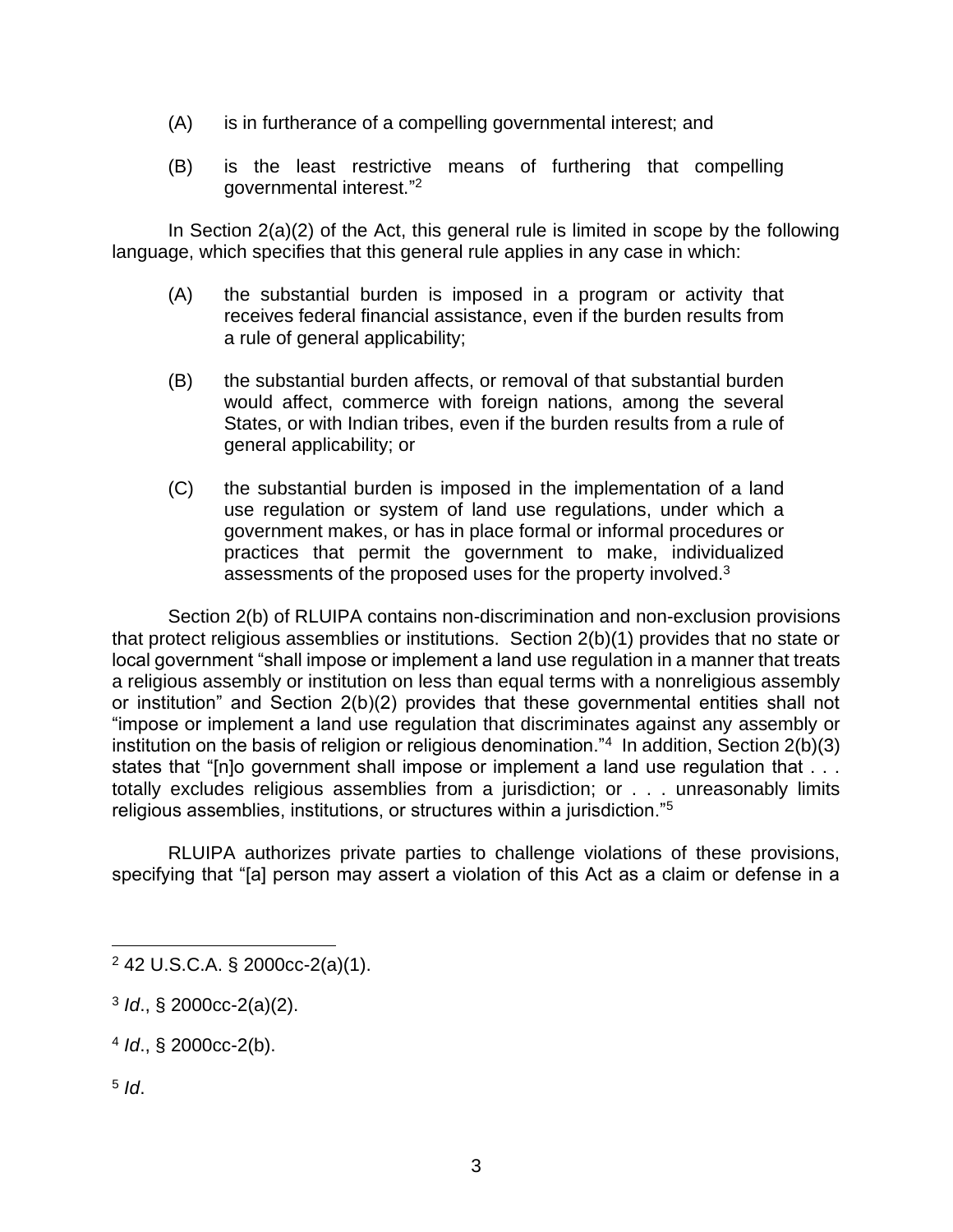- (A) is in furtherance of a compelling governmental interest; and
- (B) is the least restrictive means of furthering that compelling governmental interest."<sup>2</sup>

In Section 2(a)(2) of the Act, this general rule is limited in scope by the following language, which specifies that this general rule applies in any case in which:

- (A) the substantial burden is imposed in a program or activity that receives federal financial assistance, even if the burden results from a rule of general applicability;
- (B) the substantial burden affects, or removal of that substantial burden would affect, commerce with foreign nations, among the several States, or with Indian tribes, even if the burden results from a rule of general applicability; or
- (C) the substantial burden is imposed in the implementation of a land use regulation or system of land use regulations, under which a government makes, or has in place formal or informal procedures or practices that permit the government to make, individualized assessments of the proposed uses for the property involved.<sup>3</sup>

Section 2(b) of RLUIPA contains non-discrimination and non-exclusion provisions that protect religious assemblies or institutions. Section 2(b)(1) provides that no state or local government "shall impose or implement a land use regulation in a manner that treats a religious assembly or institution on less than equal terms with a nonreligious assembly or institution" and Section 2(b)(2) provides that these governmental entities shall not "impose or implement a land use regulation that discriminates against any assembly or institution on the basis of religion or religious denomination."<sup>4</sup> In addition, Section 2(b)(3) states that "[n]o government shall impose or implement a land use regulation that . . . totally excludes religious assemblies from a jurisdiction; or . . . unreasonably limits religious assemblies, institutions, or structures within a jurisdiction."<sup>5</sup>

RLUIPA authorizes private parties to challenge violations of these provisions, specifying that "[a] person may assert a violation of this Act as a claim or defense in a

4 *Id*., § 2000cc-2(b).

5 *Id*.

<sup>2</sup> 42 U.S.C.A. § 2000cc-2(a)(1).

<sup>3</sup> *Id*., § 2000cc-2(a)(2).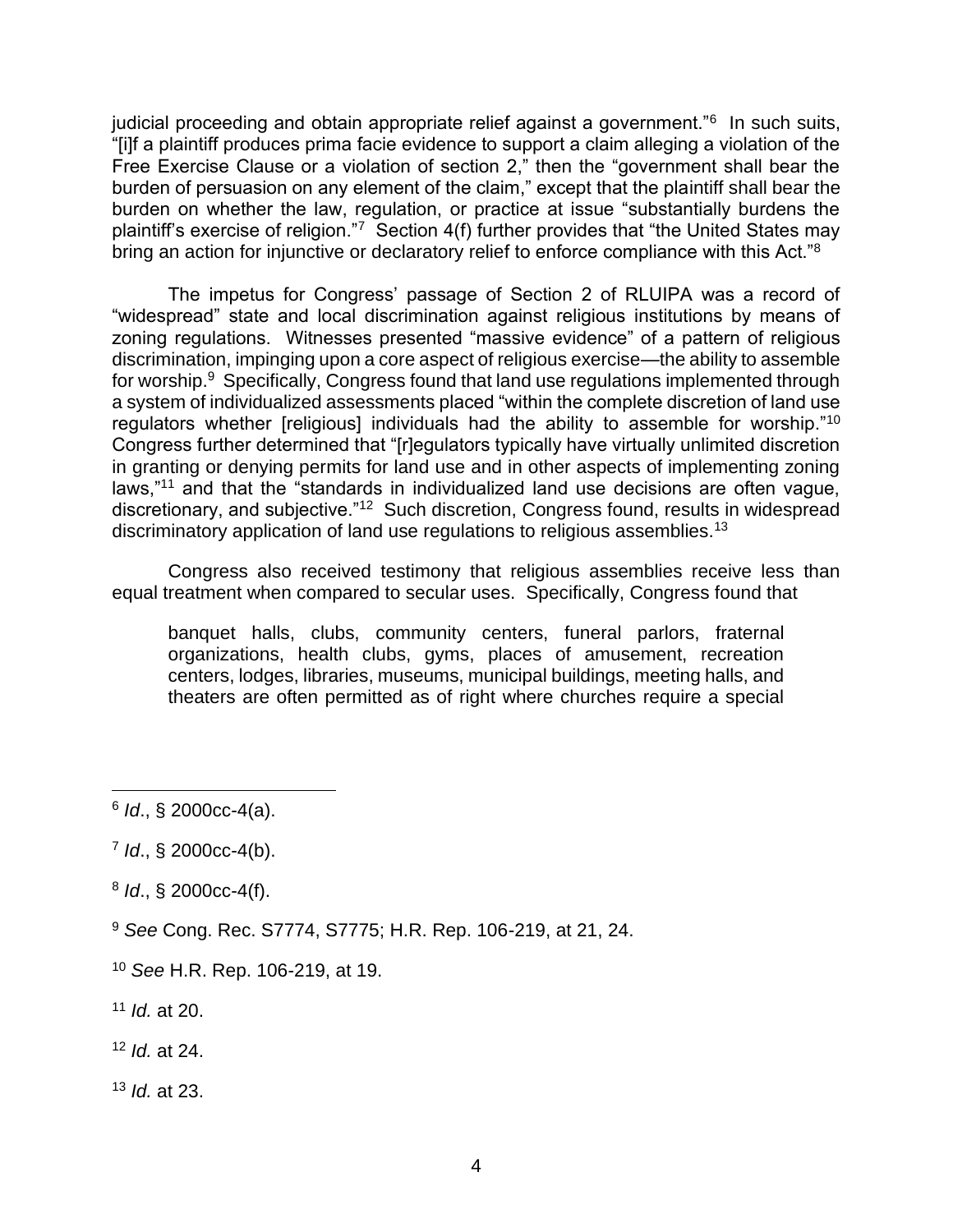judicial proceeding and obtain appropriate relief against a government."<sup>6</sup> In such suits, "[i]f a plaintiff produces prima facie evidence to support a claim alleging a violation of the Free Exercise Clause or a violation of section 2," then the "government shall bear the burden of persuasion on any element of the claim," except that the plaintiff shall bear the burden on whether the law, regulation, or practice at issue "substantially burdens the plaintiff's exercise of religion."7 Section 4(f) further provides that "the United States may bring an action for injunctive or declaratory relief to enforce compliance with this Act."<sup>8</sup>

The impetus for Congress' passage of Section 2 of RLUIPA was a record of "widespread" state and local discrimination against religious institutions by means of zoning regulations. Witnesses presented "massive evidence" of a pattern of religious discrimination, impinging upon a core aspect of religious exercise—the ability to assemble for worship.<sup>9</sup> Specifically, Congress found that land use regulations implemented through a system of individualized assessments placed "within the complete discretion of land use regulators whether [religious] individuals had the ability to assemble for worship."<sup>10</sup> Congress further determined that "[r]egulators typically have virtually unlimited discretion in granting or denying permits for land use and in other aspects of implementing zoning laws,"<sup>11</sup> and that the "standards in individualized land use decisions are often vague, discretionary, and subjective."<sup>12</sup> Such discretion, Congress found, results in widespread discriminatory application of land use regulations to religious assemblies.<sup>13</sup>

Congress also received testimony that religious assemblies receive less than equal treatment when compared to secular uses. Specifically, Congress found that

banquet halls, clubs, community centers, funeral parlors, fraternal organizations, health clubs, gyms, places of amusement, recreation centers, lodges, libraries, museums, municipal buildings, meeting halls, and theaters are often permitted as of right where churches require a special

- 8 *Id*., § 2000cc-4(f).
- <sup>9</sup> *See* Cong. Rec. S7774, S7775; H.R. Rep. 106-219, at 21, 24.
- <sup>10</sup> *See* H.R. Rep. 106-219, at 19.
- <sup>11</sup> *Id.* at 20.
- <sup>12</sup> *Id.* at 24.
- <sup>13</sup> *Id.* at 23.

<sup>6</sup> *Id*., § 2000cc-4(a).

<sup>7</sup> *Id*., § 2000cc-4(b).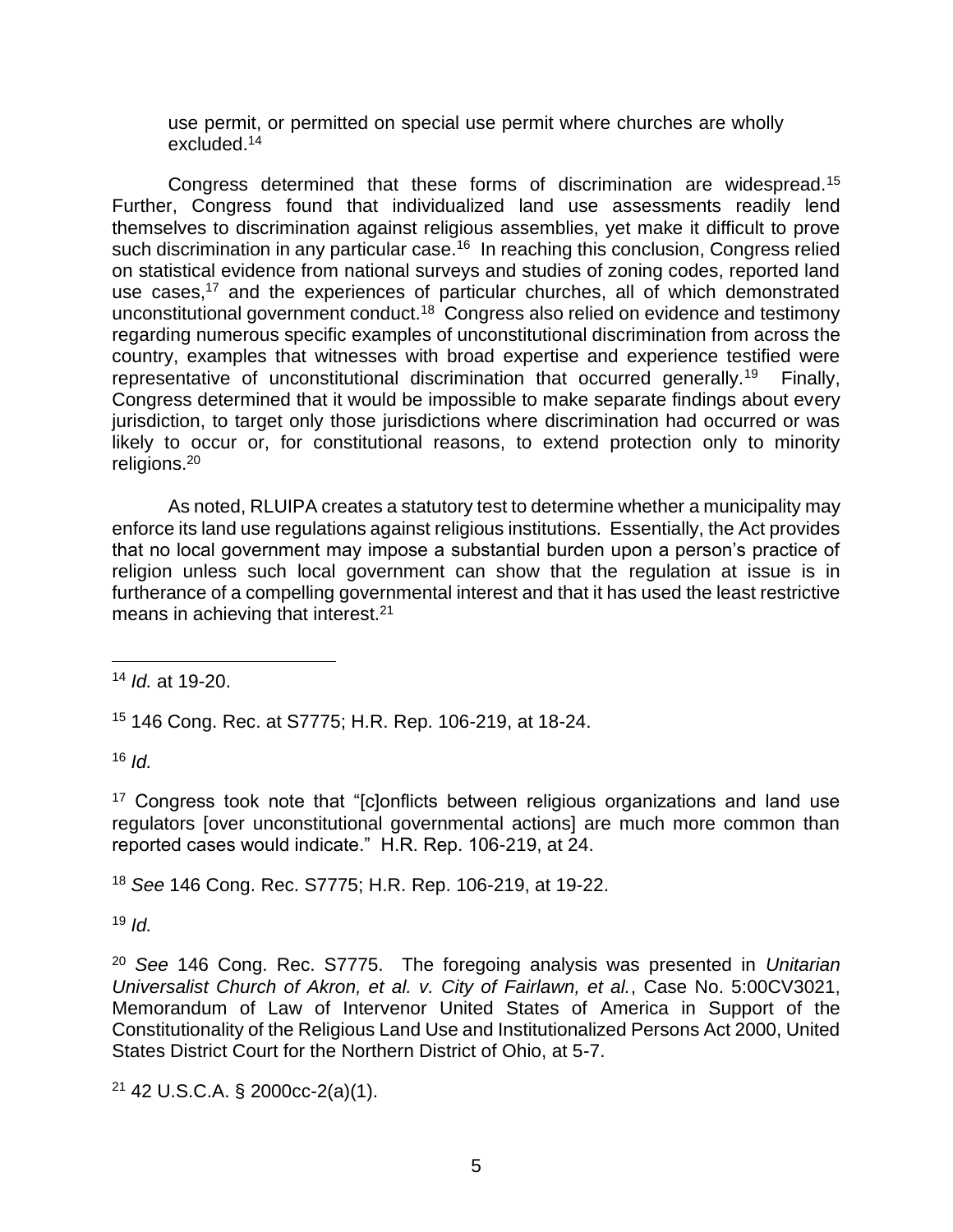use permit, or permitted on special use permit where churches are wholly excluded.<sup>14</sup>

Congress determined that these forms of discrimination are widespread.<sup>15</sup> Further, Congress found that individualized land use assessments readily lend themselves to discrimination against religious assemblies, yet make it difficult to prove such discrimination in any particular case.<sup>16</sup> In reaching this conclusion, Congress relied on statistical evidence from national surveys and studies of zoning codes, reported land use cases,<sup>17</sup> and the experiences of particular churches, all of which demonstrated unconstitutional government conduct.<sup>18</sup> Congress also relied on evidence and testimony regarding numerous specific examples of unconstitutional discrimination from across the country, examples that witnesses with broad expertise and experience testified were representative of unconstitutional discrimination that occurred generally.<sup>19</sup> Finally, Congress determined that it would be impossible to make separate findings about every jurisdiction, to target only those jurisdictions where discrimination had occurred or was likely to occur or, for constitutional reasons, to extend protection only to minority religions.<sup>20</sup>

As noted, RLUIPA creates a statutory test to determine whether a municipality may enforce its land use regulations against religious institutions. Essentially, the Act provides that no local government may impose a substantial burden upon a person's practice of religion unless such local government can show that the regulation at issue is in furtherance of a compelling governmental interest and that it has used the least restrictive means in achieving that interest. $21$ 

<sup>15</sup> 146 Cong. Rec. at S7775; H.R. Rep. 106-219, at 18-24.

 $16$  *Id.* 

<sup>17</sup> Congress took note that "[c]onflicts between religious organizations and land use regulators [over unconstitutional governmental actions] are much more common than reported cases would indicate." H.R. Rep. 106-219, at 24.

<sup>18</sup> *See* 146 Cong. Rec. S7775; H.R. Rep. 106-219, at 19-22.

 $19$  *Id.* 

<sup>20</sup> *See* 146 Cong. Rec. S7775. The foregoing analysis was presented in *Unitarian Universalist Church of Akron, et al. v. City of Fairlawn, et al.*, Case No. 5:00CV3021, Memorandum of Law of Intervenor United States of America in Support of the Constitutionality of the Religious Land Use and Institutionalized Persons Act 2000, United States District Court for the Northern District of Ohio, at 5-7.

 $21$  42 U.S.C.A. § 2000cc-2(a)(1).

<sup>14</sup> *Id.* at 19-20.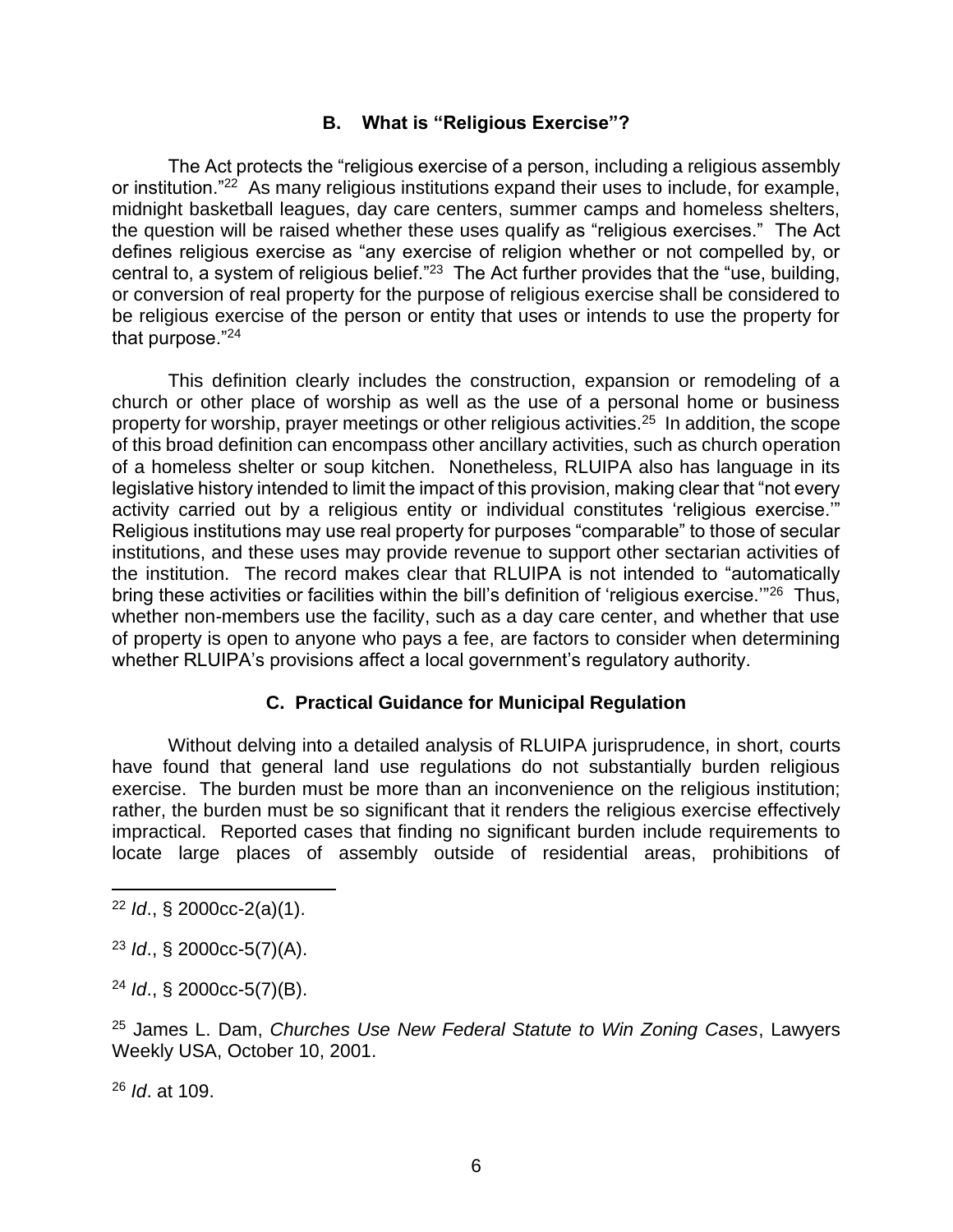# **B. What is "Religious Exercise"?**

The Act protects the "religious exercise of a person, including a religious assembly or institution."<sup>22</sup> As many religious institutions expand their uses to include, for example, midnight basketball leagues, day care centers, summer camps and homeless shelters, the question will be raised whether these uses qualify as "religious exercises." The Act defines religious exercise as "any exercise of religion whether or not compelled by, or central to, a system of religious belief."<sup>23</sup> The Act further provides that the "use, building, or conversion of real property for the purpose of religious exercise shall be considered to be religious exercise of the person or entity that uses or intends to use the property for that purpose."<sup>24</sup>

This definition clearly includes the construction, expansion or remodeling of a church or other place of worship as well as the use of a personal home or business property for worship, prayer meetings or other religious activities.<sup>25</sup> In addition, the scope of this broad definition can encompass other ancillary activities, such as church operation of a homeless shelter or soup kitchen. Nonetheless, RLUIPA also has language in its legislative history intended to limit the impact of this provision, making clear that "not every activity carried out by a religious entity or individual constitutes 'religious exercise.'" Religious institutions may use real property for purposes "comparable" to those of secular institutions, and these uses may provide revenue to support other sectarian activities of the institution. The record makes clear that RLUIPA is not intended to "automatically bring these activities or facilities within the bill's definition of 'religious exercise."<sup>26</sup> Thus, whether non-members use the facility, such as a day care center, and whether that use of property is open to anyone who pays a fee, are factors to consider when determining whether RLUIPA's provisions affect a local government's regulatory authority.

# **C. Practical Guidance for Municipal Regulation**

Without delving into a detailed analysis of RLUIPA jurisprudence, in short, courts have found that general land use regulations do not substantially burden religious exercise. The burden must be more than an inconvenience on the religious institution; rather, the burden must be so significant that it renders the religious exercise effectively impractical. Reported cases that finding no significant burden include requirements to locate large places of assembly outside of residential areas, prohibitions of

<sup>22</sup> *Id*., § 2000cc-2(a)(1).

<sup>23</sup> *Id*., § 2000cc-5(7)(A).

<sup>24</sup> *Id*., § 2000cc-5(7)(B).

<sup>25</sup> James L. Dam, *Churches Use New Federal Statute to Win Zoning Cases*, Lawyers Weekly USA, October 10, 2001.

<sup>26</sup> *Id*. at 109.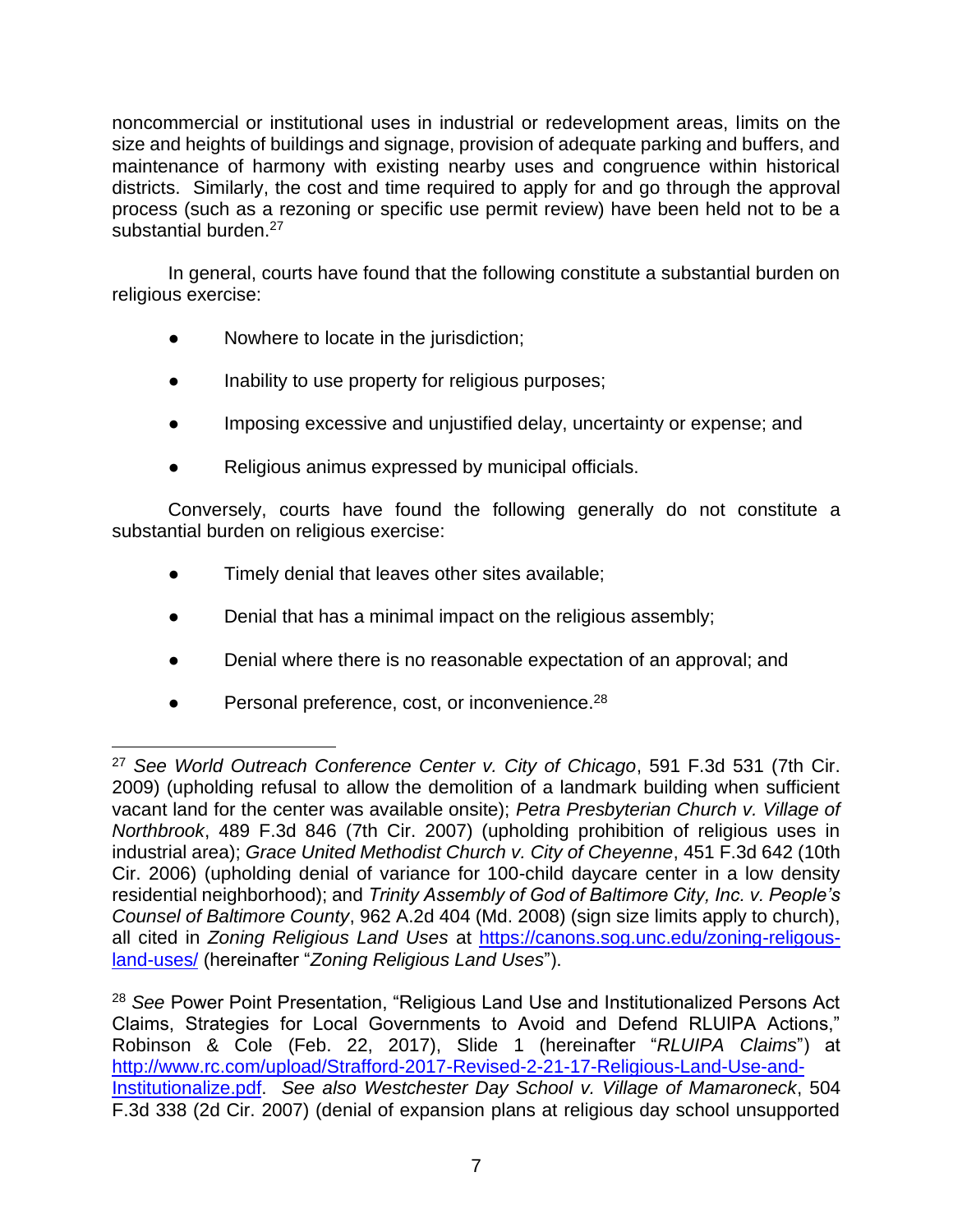noncommercial or institutional uses in industrial or redevelopment areas, limits on the size and heights of buildings and signage, provision of adequate parking and buffers, and maintenance of harmony with existing nearby uses and congruence within historical districts. Similarly, the cost and time required to apply for and go through the approval process (such as a rezoning or specific use permit review) have been held not to be a substantial burden.<sup>27</sup>

In general, courts have found that the following constitute a substantial burden on religious exercise:

- Nowhere to locate in the jurisdiction;
- Inability to use property for religious purposes;
- Imposing excessive and unjustified delay, uncertainty or expense; and
- Religious animus expressed by municipal officials.

Conversely, courts have found the following generally do not constitute a substantial burden on religious exercise:

- Timely denial that leaves other sites available;
- Denial that has a minimal impact on the religious assembly;
- Denial where there is no reasonable expectation of an approval; and
- $\bullet$  Personal preference, cost, or inconvenience.<sup>28</sup>

<sup>27</sup> *See World Outreach Conference Center v. City of Chicago*, 591 F.3d 531 (7th Cir. 2009) (upholding refusal to allow the demolition of a landmark building when sufficient vacant land for the center was available onsite); *Petra Presbyterian Church v. Village of Northbrook*, 489 F.3d 846 (7th Cir. 2007) (upholding prohibition of religious uses in industrial area); *Grace United Methodist Church v. City of Cheyenne*, 451 F.3d 642 (10th Cir. 2006) (upholding denial of variance for 100-child daycare center in a low density residential neighborhood); and *Trinity Assembly of God of Baltimore City, Inc. v. People's Counsel of Baltimore County*, 962 A.2d 404 (Md. 2008) (sign size limits apply to church), all cited in *Zoning Religious Land Uses* at [https://canons.sog.unc.edu/zoning-religous](https://canons.sog.unc.edu/zoning-religous-land-uses/)[land-uses/](https://canons.sog.unc.edu/zoning-religous-land-uses/) (hereinafter "*Zoning Religious Land Uses*").

<sup>28</sup> *See* Power Point Presentation, "Religious Land Use and Institutionalized Persons Act Claims, Strategies for Local Governments to Avoid and Defend RLUIPA Actions," Robinson & Cole (Feb. 22, 2017), Slide 1 (hereinafter "*RLUIPA Claims*") at [http://www.rc.com/upload/Strafford-2017-Revised-2-21-17-Religious-Land-Use-and-](http://www.rc.com/upload/Strafford-2017-Revised-2-21-17-Religious-Land-Use-and-Institutionalize.pdf)[Institutionalize.pdf.](http://www.rc.com/upload/Strafford-2017-Revised-2-21-17-Religious-Land-Use-and-Institutionalize.pdf) *See also Westchester Day School v. Village of Mamaroneck*, 504 F.3d 338 (2d Cir. 2007) (denial of expansion plans at religious day school unsupported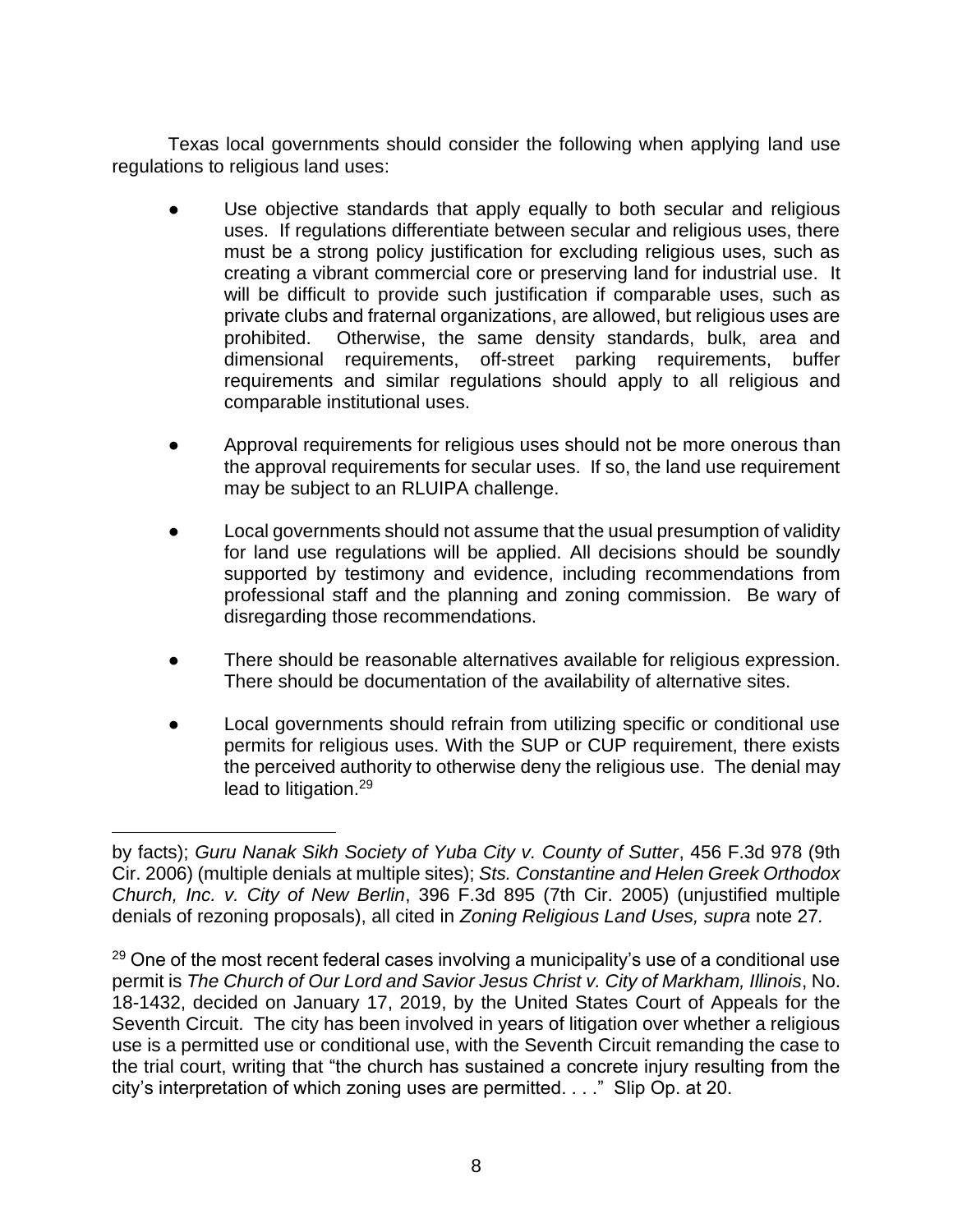Texas local governments should consider the following when applying land use regulations to religious land uses:

- Use objective standards that apply equally to both secular and religious uses. If regulations differentiate between secular and religious uses, there must be a strong policy justification for excluding religious uses, such as creating a vibrant commercial core or preserving land for industrial use. It will be difficult to provide such justification if comparable uses, such as private clubs and fraternal organizations, are allowed, but religious uses are prohibited. Otherwise, the same density standards, bulk, area and dimensional requirements, off-street parking requirements, buffer requirements and similar regulations should apply to all religious and comparable institutional uses.
- Approval requirements for religious uses should not be more onerous than the approval requirements for secular uses. If so, the land use requirement may be subject to an RLUIPA challenge.
- Local governments should not assume that the usual presumption of validity for land use regulations will be applied. All decisions should be soundly supported by testimony and evidence, including recommendations from professional staff and the planning and zoning commission. Be wary of disregarding those recommendations.
- There should be reasonable alternatives available for religious expression. There should be documentation of the availability of alternative sites.
- Local governments should refrain from utilizing specific or conditional use permits for religious uses. With the SUP or CUP requirement, there exists the perceived authority to otherwise deny the religious use. The denial may lead to litigation.<sup>29</sup>

by facts); *Guru Nanak Sikh Society of Yuba City v. County of Sutter*, 456 F.3d 978 (9th Cir. 2006) (multiple denials at multiple sites); *Sts. Constantine and Helen Greek Orthodox Church, Inc. v. City of New Berlin*, 396 F.3d 895 (7th Cir. 2005) (unjustified multiple denials of rezoning proposals), all cited in *Zoning Religious Land Uses, supra* note 27*.*

 $29$  One of the most recent federal cases involving a municipality's use of a conditional use permit is *The Church of Our Lord and Savior Jesus Christ v. City of Markham, Illinois*, No. 18-1432, decided on January 17, 2019, by the United States Court of Appeals for the Seventh Circuit. The city has been involved in years of litigation over whether a religious use is a permitted use or conditional use, with the Seventh Circuit remanding the case to the trial court, writing that "the church has sustained a concrete injury resulting from the city's interpretation of which zoning uses are permitted. . . ." Slip Op. at 20.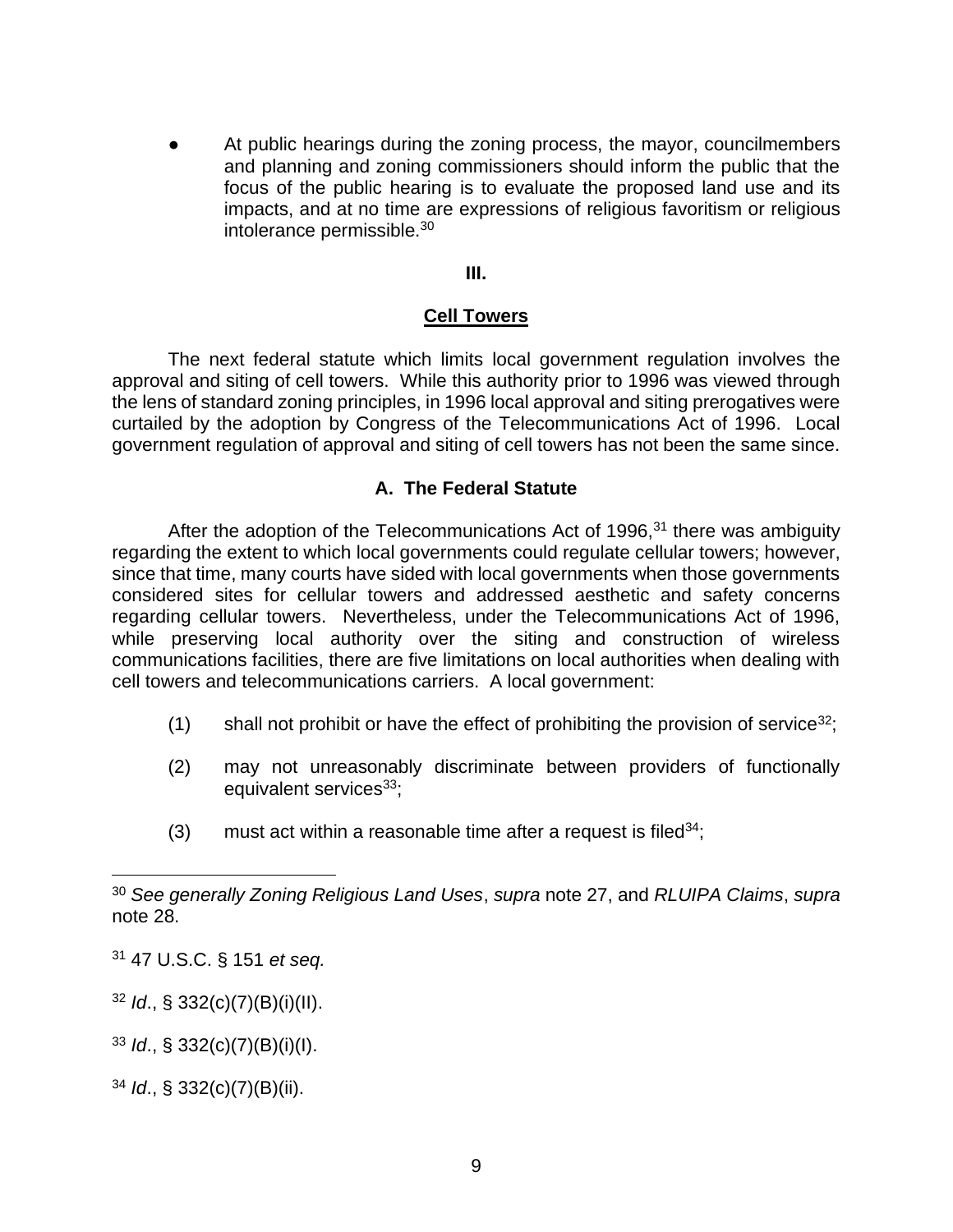At public hearings during the zoning process, the mayor, councilmembers and planning and zoning commissioners should inform the public that the focus of the public hearing is to evaluate the proposed land use and its impacts, and at no time are expressions of religious favoritism or religious intolerance permissible.<sup>30</sup>

#### **III.**

# **Cell Towers**

The next federal statute which limits local government regulation involves the approval and siting of cell towers. While this authority prior to 1996 was viewed through the lens of standard zoning principles, in 1996 local approval and siting prerogatives were curtailed by the adoption by Congress of the Telecommunications Act of 1996. Local government regulation of approval and siting of cell towers has not been the same since.

# **A. The Federal Statute**

After the adoption of the Telecommunications Act of 1996, $31$  there was ambiguity regarding the extent to which local governments could regulate cellular towers; however, since that time, many courts have sided with local governments when those governments considered sites for cellular towers and addressed aesthetic and safety concerns regarding cellular towers. Nevertheless, under the Telecommunications Act of 1996, while preserving local authority over the siting and construction of wireless communications facilities, there are five limitations on local authorities when dealing with cell towers and telecommunications carriers. A local government:

- (1) shall not prohibit or have the effect of prohibiting the provision of service<sup>32</sup>;
- (2) may not unreasonably discriminate between providers of functionally equivalent services<sup>33</sup>;
- (3) must act within a reasonable time after a request is filed  $34$ ;

<sup>31</sup> 47 U.S.C. § 151 *et seq.*

<sup>32</sup> *Id*., § 332(c)(7)(B)(i)(II).

<sup>33</sup> *Id*., § 332(c)(7)(B)(i)(I).

<sup>34</sup> *Id*., § 332(c)(7)(B)(ii).

<sup>30</sup> *See generally Zoning Religious Land Uses*, *supra* note 27, and *RLUIPA Claims*, *supra* note 28.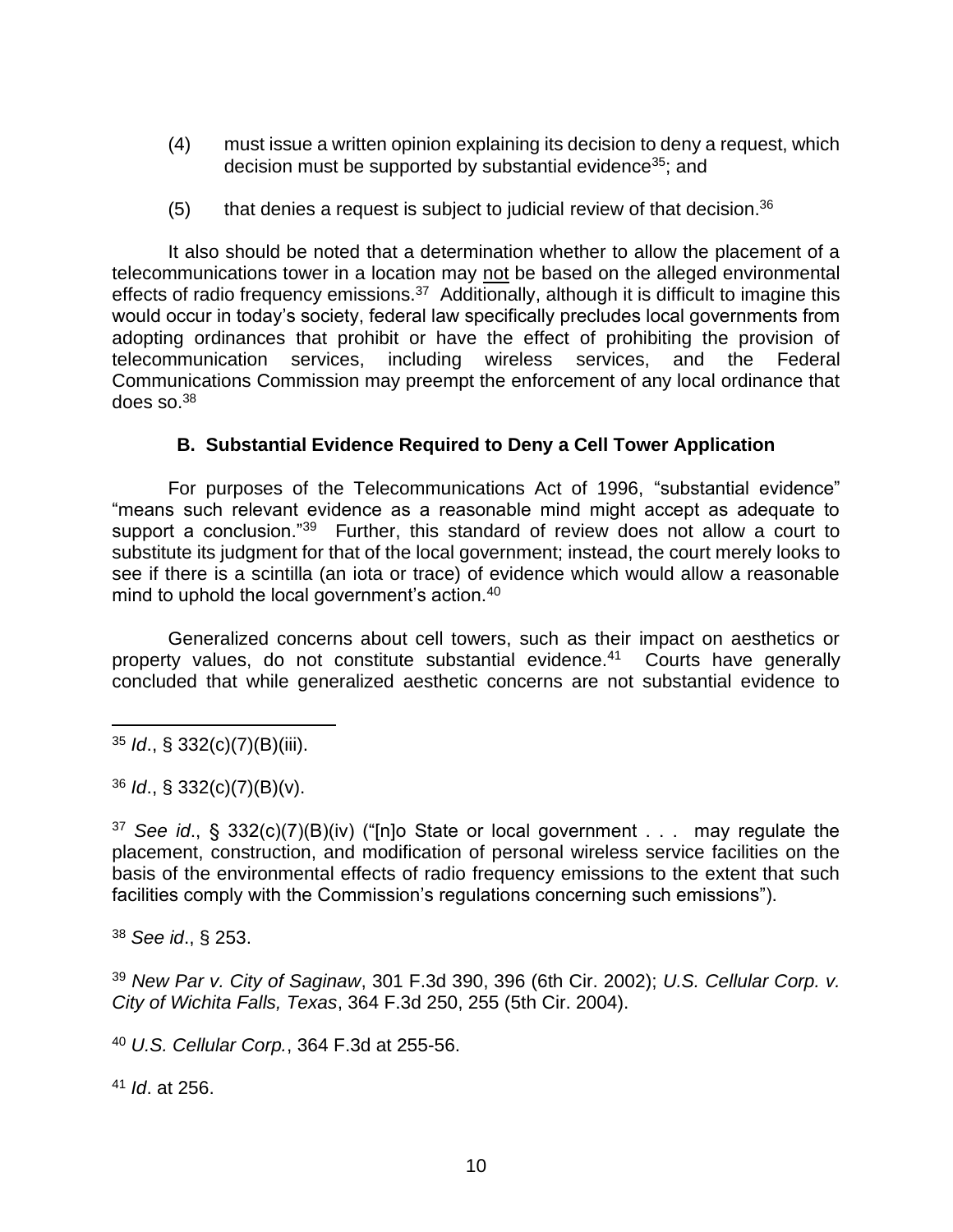- (4) must issue a written opinion explaining its decision to deny a request, which decision must be supported by substantial evidence<sup>35</sup>; and
- $(5)$  that denies a request is subject to judicial review of that decision.<sup>36</sup>

It also should be noted that a determination whether to allow the placement of a telecommunications tower in a location may not be based on the alleged environmental effects of radio frequency emissions.<sup>37</sup> Additionally, although it is difficult to imagine this would occur in today's society, federal law specifically precludes local governments from adopting ordinances that prohibit or have the effect of prohibiting the provision of telecommunication services, including wireless services, and the Federal Communications Commission may preempt the enforcement of any local ordinance that does so. $^{38}$ 

# **B. Substantial Evidence Required to Deny a Cell Tower Application**

For purposes of the Telecommunications Act of 1996, "substantial evidence" "means such relevant evidence as a reasonable mind might accept as adequate to support a conclusion."<sup>39</sup> Further, this standard of review does not allow a court to substitute its judgment for that of the local government; instead, the court merely looks to see if there is a scintilla (an iota or trace) of evidence which would allow a reasonable mind to uphold the local government's action.<sup>40</sup>

Generalized concerns about cell towers, such as their impact on aesthetics or property values, do not constitute substantial evidence.<sup>41</sup> Courts have generally concluded that while generalized aesthetic concerns are not substantial evidence to

<sup>35</sup> *Id*., § 332(c)(7)(B)(iii).

<sup>36</sup> *Id*., § 332(c)(7)(B)(v).

<sup>37</sup> *See id*., § 332(c)(7)(B)(iv) ("[n]o State or local government . . . may regulate the placement, construction, and modification of personal wireless service facilities on the basis of the environmental effects of radio frequency emissions to the extent that such facilities comply with the Commission's regulations concerning such emissions").

<sup>38</sup> *See id*., § 253.

<sup>39</sup> *New Par v. City of Saginaw*, 301 F.3d 390, 396 (6th Cir. 2002); *U.S. Cellular Corp. v. City of Wichita Falls, Texas*, 364 F.3d 250, 255 (5th Cir. 2004).

<sup>40</sup> *U.S. Cellular Corp.*, 364 F.3d at 255-56.

<sup>41</sup> *Id*. at 256.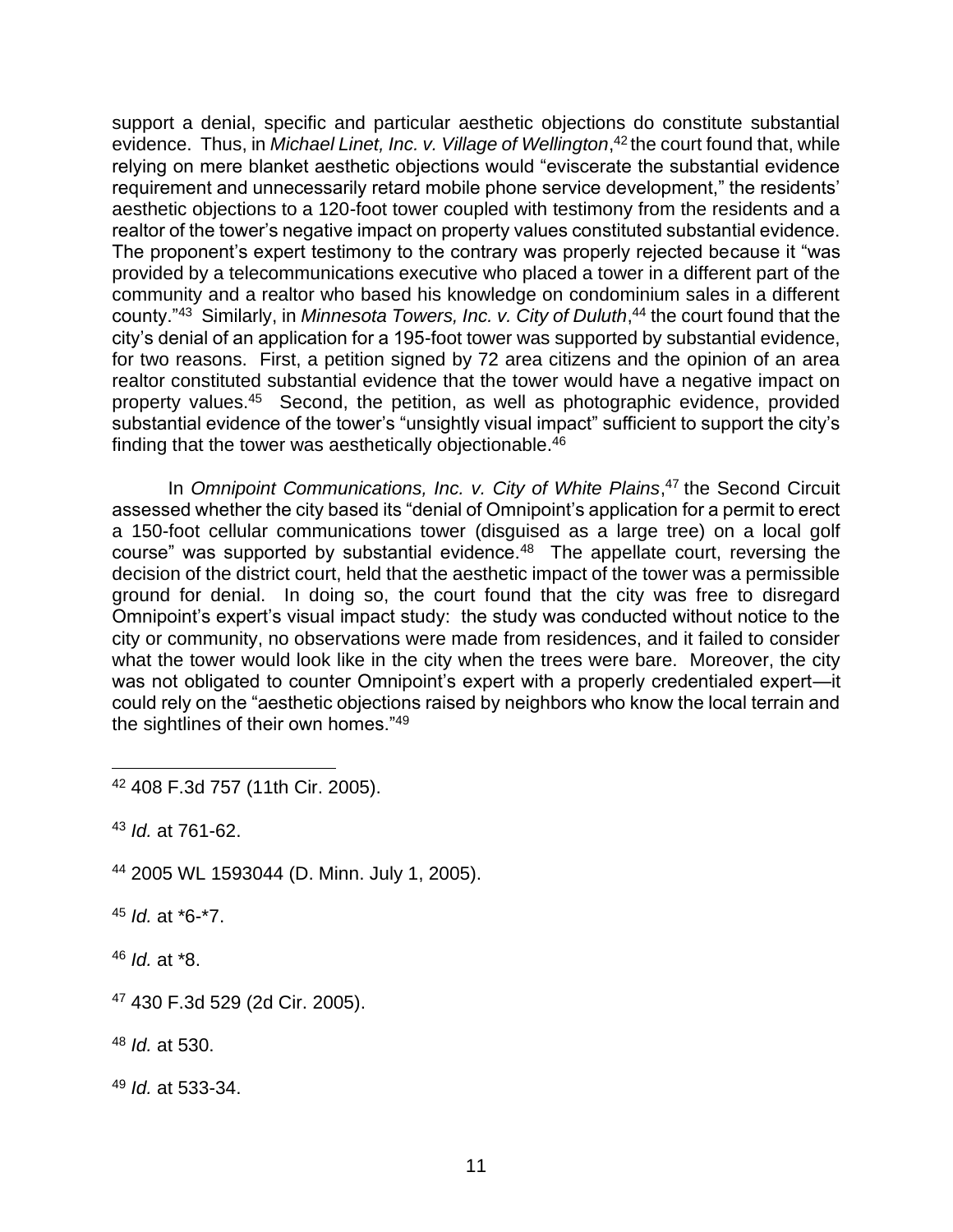support a denial, specific and particular aesthetic objections do constitute substantial evidence. Thus, in *Michael Linet, Inc. v. Village of Wellington*, <sup>42</sup> the court found that, while relying on mere blanket aesthetic objections would "eviscerate the substantial evidence requirement and unnecessarily retard mobile phone service development," the residents' aesthetic objections to a 120-foot tower coupled with testimony from the residents and a realtor of the tower's negative impact on property values constituted substantial evidence. The proponent's expert testimony to the contrary was properly rejected because it "was provided by a telecommunications executive who placed a tower in a different part of the community and a realtor who based his knowledge on condominium sales in a different county."<sup>43</sup> Similarly, in *Minnesota Towers, Inc. v. City of Duluth*, <sup>44</sup> the court found that the city's denial of an application for a 195-foot tower was supported by substantial evidence, for two reasons. First, a petition signed by 72 area citizens and the opinion of an area realtor constituted substantial evidence that the tower would have a negative impact on property values.<sup>45</sup> Second, the petition, as well as photographic evidence, provided substantial evidence of the tower's "unsightly visual impact" sufficient to support the city's finding that the tower was aesthetically objectionable.<sup>46</sup>

In *Omnipoint Communications, Inc. v. City of White Plains*, <sup>47</sup> the Second Circuit assessed whether the city based its "denial of Omnipoint's application for a permit to erect a 150-foot cellular communications tower (disguised as a large tree) on a local golf course" was supported by substantial evidence. $48$  The appellate court, reversing the decision of the district court, held that the aesthetic impact of the tower was a permissible ground for denial. In doing so, the court found that the city was free to disregard Omnipoint's expert's visual impact study: the study was conducted without notice to the city or community, no observations were made from residences, and it failed to consider what the tower would look like in the city when the trees were bare. Moreover, the city was not obligated to counter Omnipoint's expert with a properly credentialed expert—it could rely on the "aesthetic objections raised by neighbors who know the local terrain and the sightlines of their own homes."<sup>49</sup> 

<sup>43</sup> *Id.* at 761-62.

<sup>44</sup> 2005 WL 1593044 (D. Minn. July 1, 2005).

<sup>45</sup> *Id.* at \*6-\*7.

<sup>46</sup> *Id.* at \*8.

<sup>42</sup> 408 F.3d 757 (11th Cir. 2005).

<sup>47</sup> 430 F.3d 529 (2d Cir. 2005).

<sup>48</sup> *Id.* at 530.

<sup>49</sup> *Id.* at 533-34.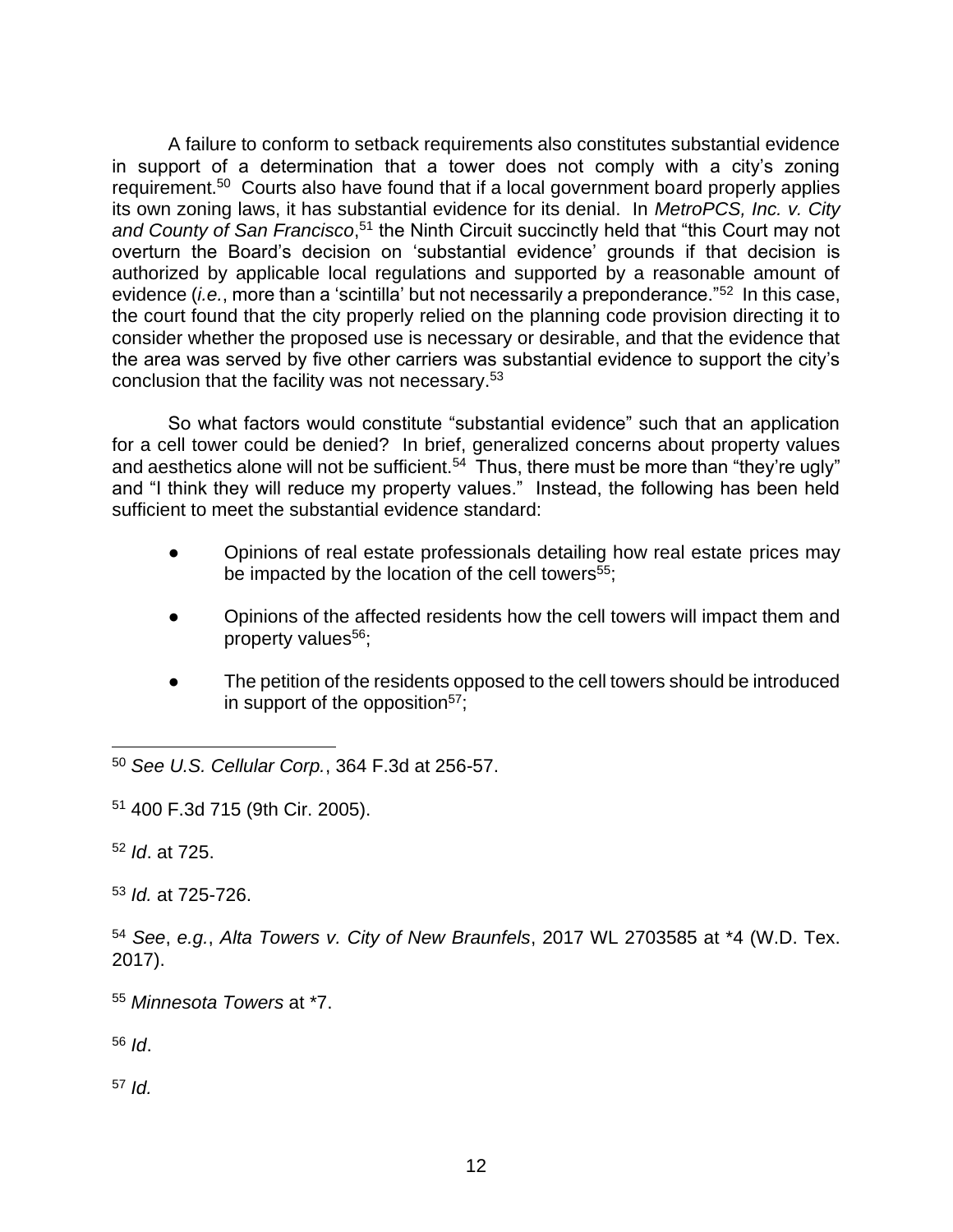A failure to conform to setback requirements also constitutes substantial evidence in support of a determination that a tower does not comply with a city's zoning requirement.<sup>50</sup> Courts also have found that if a local government board properly applies its own zoning laws, it has substantial evidence for its denial. In *MetroPCS, Inc. v. City*  and County of San Francisco,<sup>51</sup> the Ninth Circuit succinctly held that "this Court may not overturn the Board's decision on 'substantial evidence' grounds if that decision is authorized by applicable local regulations and supported by a reasonable amount of evidence (*i.e.*, more than a 'scintilla' but not necessarily a preponderance."<sup>52</sup> In this case, the court found that the city properly relied on the planning code provision directing it to consider whether the proposed use is necessary or desirable, and that the evidence that the area was served by five other carriers was substantial evidence to support the city's conclusion that the facility was not necessary.<sup>53</sup>

So what factors would constitute "substantial evidence" such that an application for a cell tower could be denied? In brief, generalized concerns about property values and aesthetics alone will not be sufficient.<sup>54</sup> Thus, there must be more than "they're ugly" and "I think they will reduce my property values." Instead, the following has been held sufficient to meet the substantial evidence standard:

- Opinions of real estate professionals detailing how real estate prices may be impacted by the location of the cell towers $55$ ;
- Opinions of the affected residents how the cell towers will impact them and property values<sup>56</sup>;
- The petition of the residents opposed to the cell towers should be introduced in support of the opposition $57$ ;

<sup>50</sup> *See U.S. Cellular Corp.*, 364 F.3d at 256-57.

<sup>51</sup> 400 F.3d 715 (9th Cir. 2005).

<sup>52</sup> *Id*. at 725.

<sup>53</sup> *Id.* at 725-726.

<sup>54</sup> *See*, *e.g.*, *Alta Towers v. City of New Braunfels*, 2017 WL 2703585 at \*4 (W.D. Tex. 2017).

<sup>55</sup> *Minnesota Towers* at \*7.

<sup>56</sup> *Id*.

<sup>57</sup> *Id.*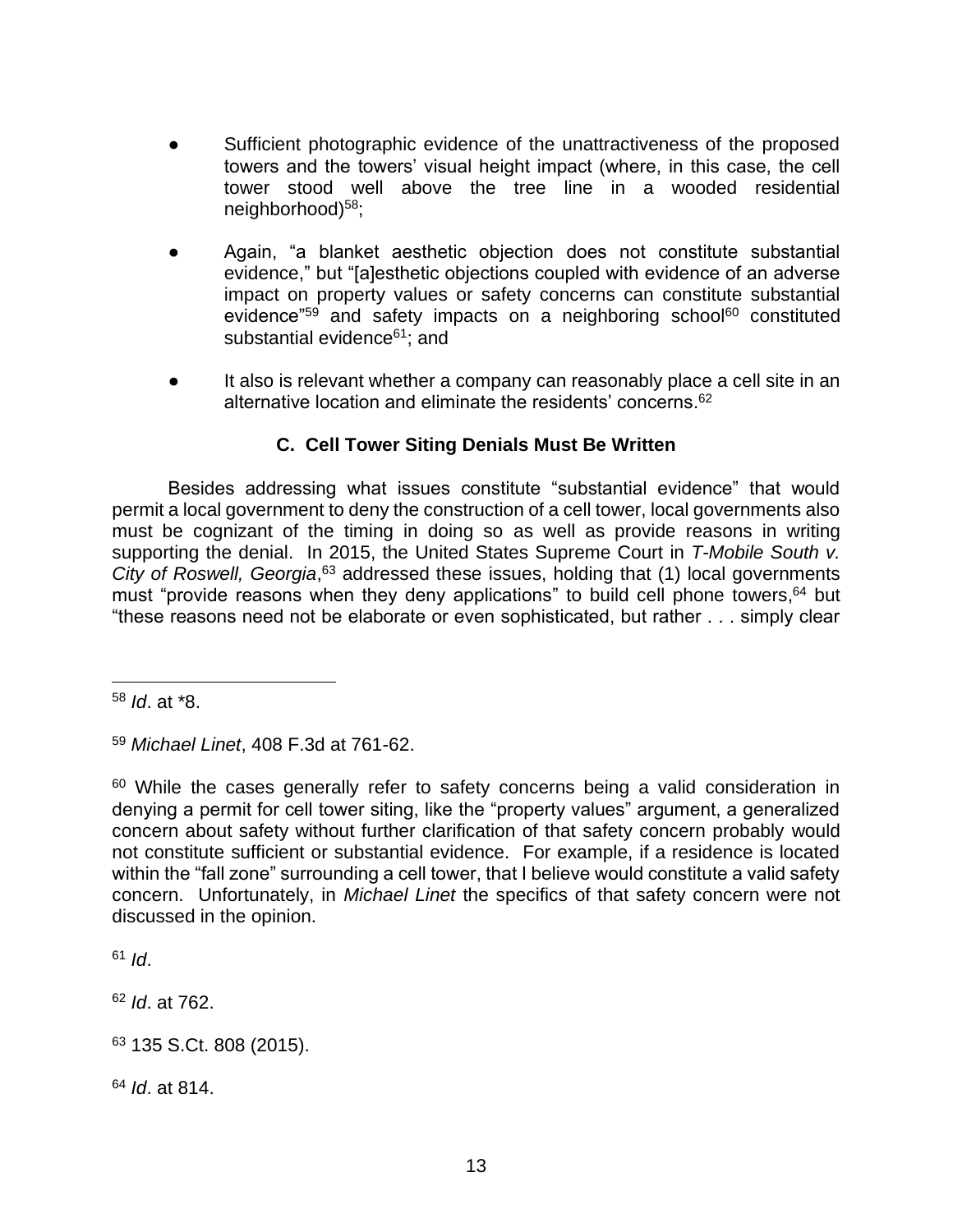- Sufficient photographic evidence of the unattractiveness of the proposed towers and the towers' visual height impact (where, in this case, the cell tower stood well above the tree line in a wooded residential neighborhood)<sup>58</sup>;
- Again, "a blanket aesthetic objection does not constitute substantial evidence," but "[a]esthetic objections coupled with evidence of an adverse impact on property values or safety concerns can constitute substantial evidence"<sup>59</sup> and safety impacts on a neighboring school<sup>60</sup> constituted substantial evidence<sup>61</sup>; and
- It also is relevant whether a company can reasonably place a cell site in an alternative location and eliminate the residents' concerns. 62

# **C. Cell Tower Siting Denials Must Be Written**

Besides addressing what issues constitute "substantial evidence" that would permit a local government to deny the construction of a cell tower, local governments also must be cognizant of the timing in doing so as well as provide reasons in writing supporting the denial. In 2015, the United States Supreme Court in *T-Mobile South v.*  City of Roswell, Georgia,<sup>63</sup> addressed these issues, holding that (1) local governments must "provide reasons when they deny applications" to build cell phone towers, 64 but "these reasons need not be elaborate or even sophisticated, but rather . . . simply clear

 $61$  *Id.* 

<sup>62</sup> *Id*. at 762.

<sup>64</sup> *Id*. at 814.

<sup>58</sup> *Id*. at \*8.

<sup>59</sup> *Michael Linet*, 408 F.3d at 761-62.

<sup>&</sup>lt;sup>60</sup> While the cases generally refer to safety concerns being a valid consideration in denying a permit for cell tower siting, like the "property values" argument, a generalized concern about safety without further clarification of that safety concern probably would not constitute sufficient or substantial evidence. For example, if a residence is located within the "fall zone" surrounding a cell tower, that I believe would constitute a valid safety concern. Unfortunately, in *Michael Linet* the specifics of that safety concern were not discussed in the opinion.

<sup>63</sup> 135 S.Ct. 808 (2015).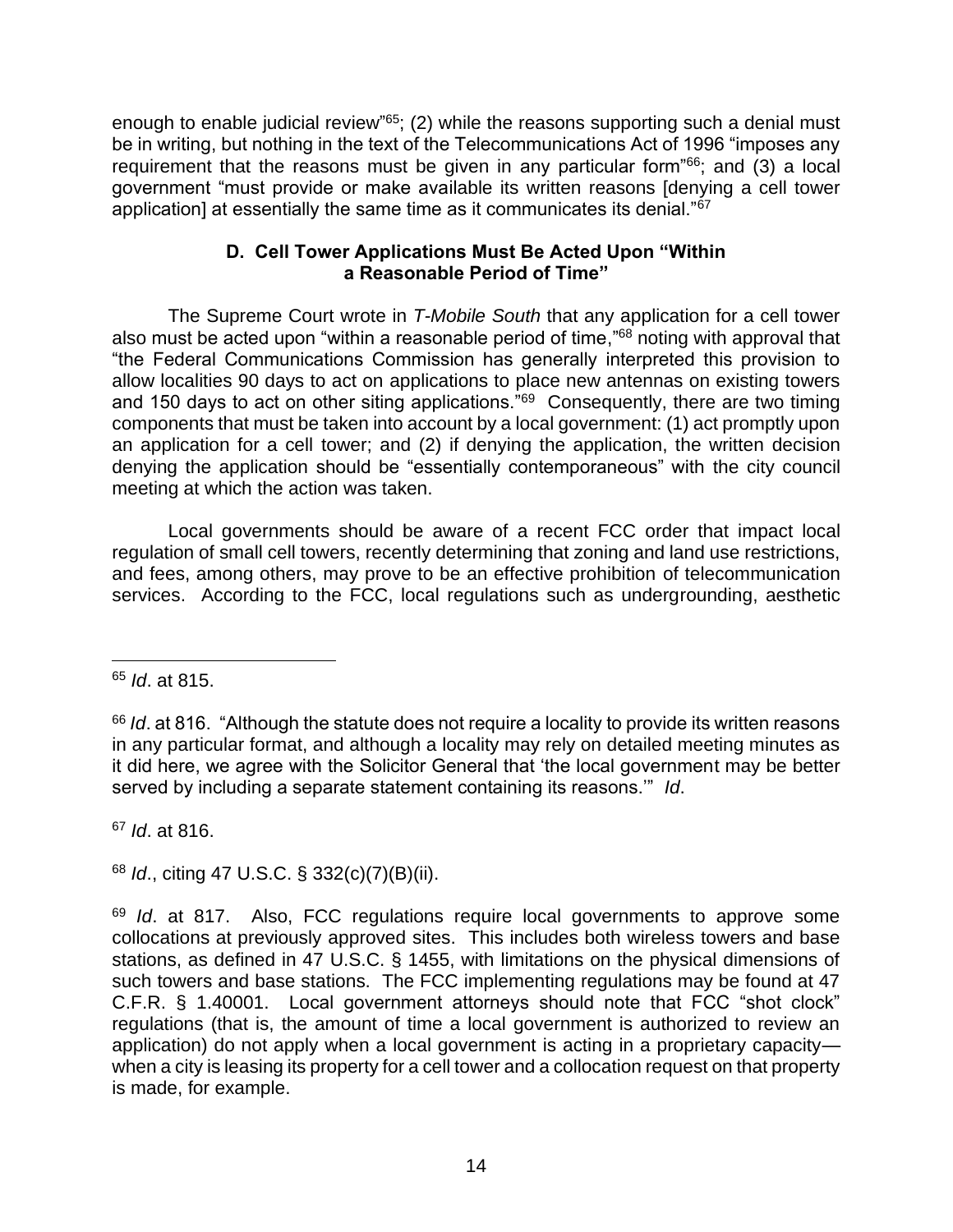enough to enable judicial review<sup>"65</sup>; (2) while the reasons supporting such a denial must be in writing, but nothing in the text of the Telecommunications Act of 1996 "imposes any requirement that the reasons must be given in any particular form"<sup>66</sup>; and (3) a local government "must provide or make available its written reasons [denying a cell tower application] at essentially the same time as it communicates its denial."<sup>67</sup>

# **D. Cell Tower Applications Must Be Acted Upon "Within a Reasonable Period of Time"**

The Supreme Court wrote in *T-Mobile South* that any application for a cell tower also must be acted upon "within a reasonable period of time,"<sup>68</sup> noting with approval that "the Federal Communications Commission has generally interpreted this provision to allow localities 90 days to act on applications to place new antennas on existing towers and 150 days to act on other siting applications.<sup>"69</sup> Consequently, there are two timing components that must be taken into account by a local government: (1) act promptly upon an application for a cell tower; and (2) if denying the application, the written decision denying the application should be "essentially contemporaneous" with the city council meeting at which the action was taken.

Local governments should be aware of a recent FCC order that impact local regulation of small cell towers, recently determining that zoning and land use restrictions, and fees, among others, may prove to be an effective prohibition of telecommunication services. According to the FCC, local regulations such as undergrounding, aesthetic

<sup>67</sup> *Id*. at 816.

<sup>68</sup> *Id*., citing 47 U.S.C. § 332(c)(7)(B)(ii).

<sup>65</sup> *Id*. at 815.

<sup>&</sup>lt;sup>66</sup> *Id.* at 816. "Although the statute does not require a locality to provide its written reasons in any particular format, and although a locality may rely on detailed meeting minutes as it did here, we agree with the Solicitor General that 'the local government may be better served by including a separate statement containing its reasons.'" *Id*.

<sup>69</sup> *Id*. at 817. Also, FCC regulations require local governments to approve some collocations at previously approved sites. This includes both wireless towers and base stations, as defined in 47 U.S.C. § 1455, with limitations on the physical dimensions of such towers and base stations. The FCC implementing regulations may be found at 47 C.F.R. § 1.40001. Local government attorneys should note that FCC "shot clock" regulations (that is, the amount of time a local government is authorized to review an application) do not apply when a local government is acting in a proprietary capacity when a city is leasing its property for a cell tower and a collocation request on that property is made, for example.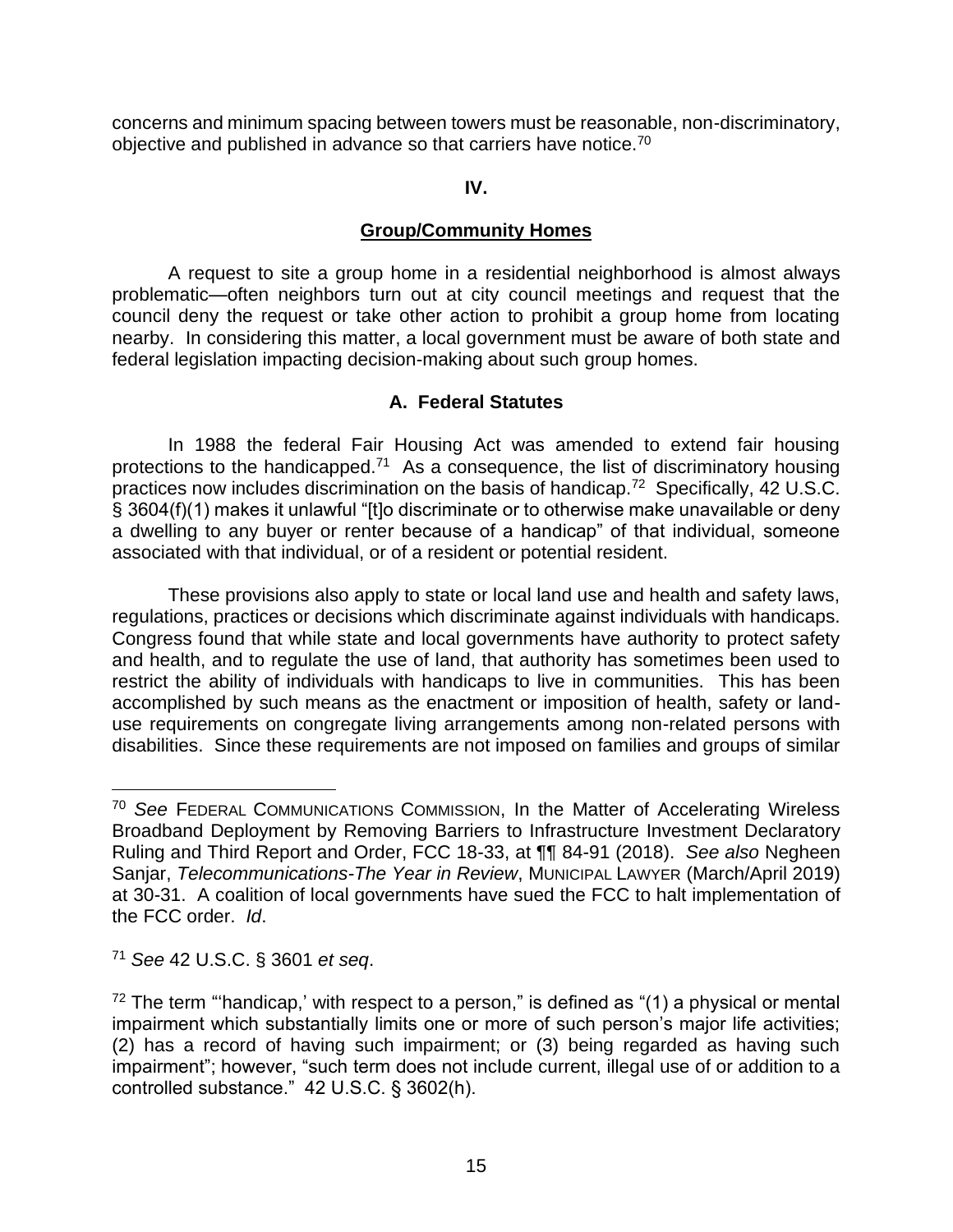concerns and minimum spacing between towers must be reasonable, non-discriminatory, objective and published in advance so that carriers have notice.<sup>70</sup>

# **IV.**

# **Group/Community Homes**

A request to site a group home in a residential neighborhood is almost always problematic—often neighbors turn out at city council meetings and request that the council deny the request or take other action to prohibit a group home from locating nearby. In considering this matter, a local government must be aware of both state and federal legislation impacting decision-making about such group homes.

# **A. Federal Statutes**

In 1988 the federal Fair Housing Act was amended to extend fair housing protections to the handicapped.<sup>71</sup> As a consequence, the list of discriminatory housing practices now includes discrimination on the basis of handicap.<sup>72</sup> Specifically, 42 U.S.C. § 3604(f)(1) makes it unlawful "[t]o discriminate or to otherwise make unavailable or deny a dwelling to any buyer or renter because of a handicap" of that individual, someone associated with that individual, or of a resident or potential resident.

These provisions also apply to state or local land use and health and safety laws, regulations, practices or decisions which discriminate against individuals with handicaps. Congress found that while state and local governments have authority to protect safety and health, and to regulate the use of land, that authority has sometimes been used to restrict the ability of individuals with handicaps to live in communities. This has been accomplished by such means as the enactment or imposition of health, safety or landuse requirements on congregate living arrangements among non-related persons with disabilities. Since these requirements are not imposed on families and groups of similar

<sup>71</sup> *See* 42 U.S.C. § 3601 *et seq*.

<sup>70</sup> *See* FEDERAL COMMUNICATIONS COMMISSION, In the Matter of Accelerating Wireless Broadband Deployment by Removing Barriers to Infrastructure Investment Declaratory Ruling and Third Report and Order, FCC 18-33, at ¶¶ 84-91 (2018). *See also* Negheen Sanjar, *Telecommunications-The Year in Review*, MUNICIPAL LAWYER (March/April 2019) at 30-31. A coalition of local governments have sued the FCC to halt implementation of the FCC order. *Id*.

 $72$  The term "'handicap,' with respect to a person," is defined as "(1) a physical or mental impairment which substantially limits one or more of such person's major life activities; (2) has a record of having such impairment; or (3) being regarded as having such impairment"; however, "such term does not include current, illegal use of or addition to a controlled substance." 42 U.S.C. § 3602(h).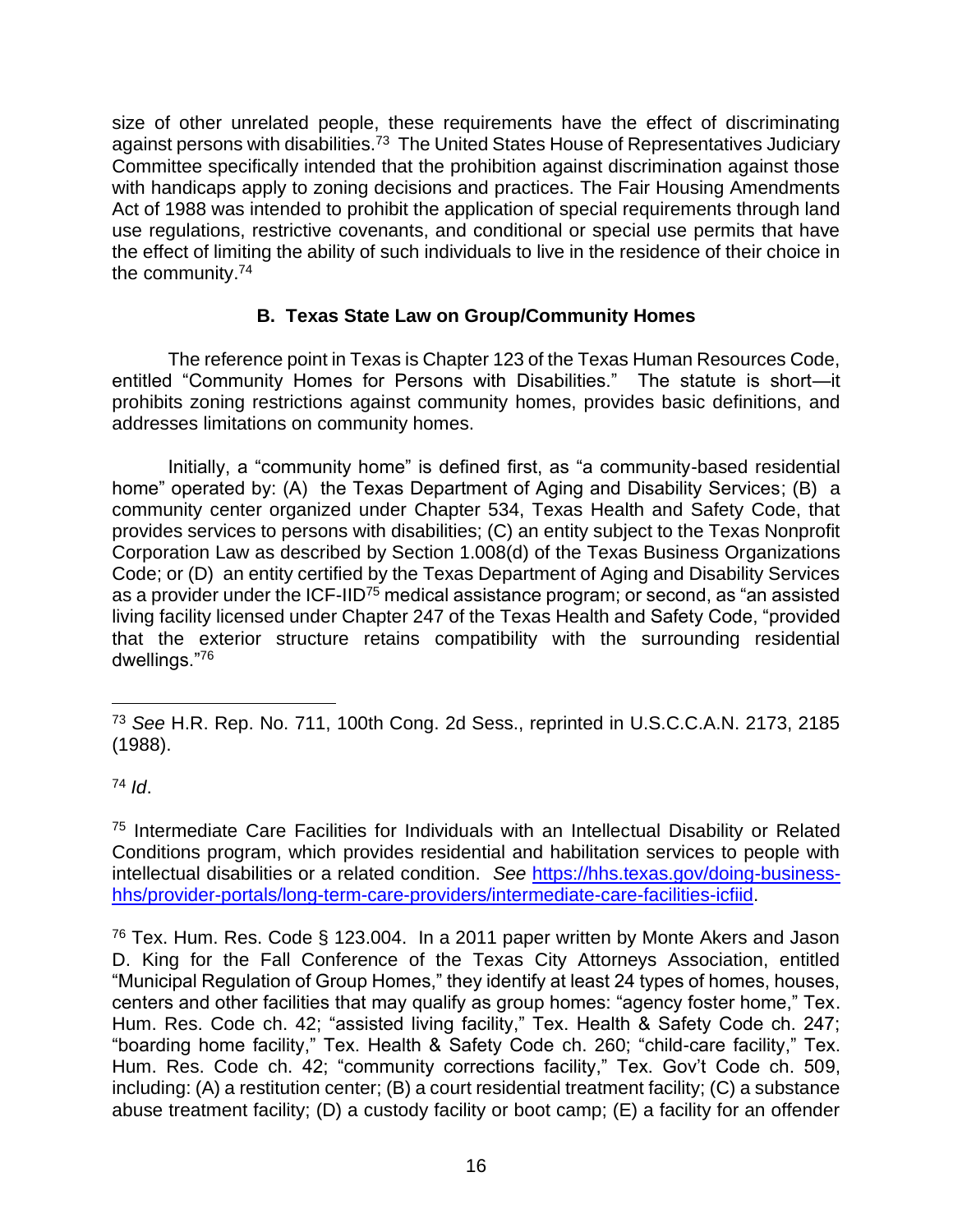size of other unrelated people, these requirements have the effect of discriminating against persons with disabilities.<sup>73</sup> The United States House of Representatives Judiciary Committee specifically intended that the prohibition against discrimination against those with handicaps apply to zoning decisions and practices. The Fair Housing Amendments Act of 1988 was intended to prohibit the application of special requirements through land use regulations, restrictive covenants, and conditional or special use permits that have the effect of limiting the ability of such individuals to live in the residence of their choice in the community.<sup>74</sup>

# **B. Texas State Law on Group/Community Homes**

The reference point in Texas is Chapter 123 of the Texas Human Resources Code, entitled "Community Homes for Persons with Disabilities." The statute is short—it prohibits zoning restrictions against community homes, provides basic definitions, and addresses limitations on community homes.

Initially, a "community home" is defined first, as "a community-based residential home" operated by: (A) the Texas Department of Aging and Disability Services; (B) a community center organized under Chapter 534, Texas Health and Safety Code, that provides services to persons with disabilities; (C) an entity subject to the Texas Nonprofit Corporation Law as described by Section 1.008(d) of the Texas Business Organizations Code; or (D) an entity certified by the Texas Department of Aging and Disability Services as a provider under the ICF-IID<sup>75</sup> medical assistance program; or second, as "an assisted living facility licensed under Chapter 247 of the Texas Health and Safety Code, "provided that the exterior structure retains compatibility with the surrounding residential dwellings."<sup>76</sup>

<sup>73</sup> *See* H.R. Rep. No. 711, 100th Cong. 2d Sess., reprinted in U.S.C.C.A.N. 2173, 2185 (1988).

<sup>74</sup> *Id*.

<sup>75</sup> Intermediate Care Facilities for Individuals with an Intellectual Disability or Related Conditions program, which provides residential and habilitation services to people with intellectual disabilities or a related condition. *See* [https://hhs.texas.gov/doing-business](https://hhs.texas.gov/doing-business-hhs/provider-portals/long-term-care-providers/intermediate-care-facilities-icfiid)[hhs/provider-portals/long-term-care-providers/intermediate-care-facilities-icfiid.](https://hhs.texas.gov/doing-business-hhs/provider-portals/long-term-care-providers/intermediate-care-facilities-icfiid)

<sup>76</sup> Tex. Hum. Res. Code § 123.004. In a 2011 paper written by Monte Akers and Jason D. King for the Fall Conference of the Texas City Attorneys Association, entitled "Municipal Regulation of Group Homes," they identify at least 24 types of homes, houses, centers and other facilities that may qualify as group homes: "agency foster home," Tex. Hum. Res. Code ch. 42; "assisted living facility," Tex. Health & Safety Code ch. 247; "boarding home facility," Tex. Health & Safety Code ch. 260; "child-care facility," Tex. Hum. Res. Code ch. 42; "community corrections facility," Tex. Gov't Code ch. 509, including: (A) a restitution center; (B) a court residential treatment facility; (C) a substance abuse treatment facility; (D) a custody facility or boot camp; (E) a facility for an offender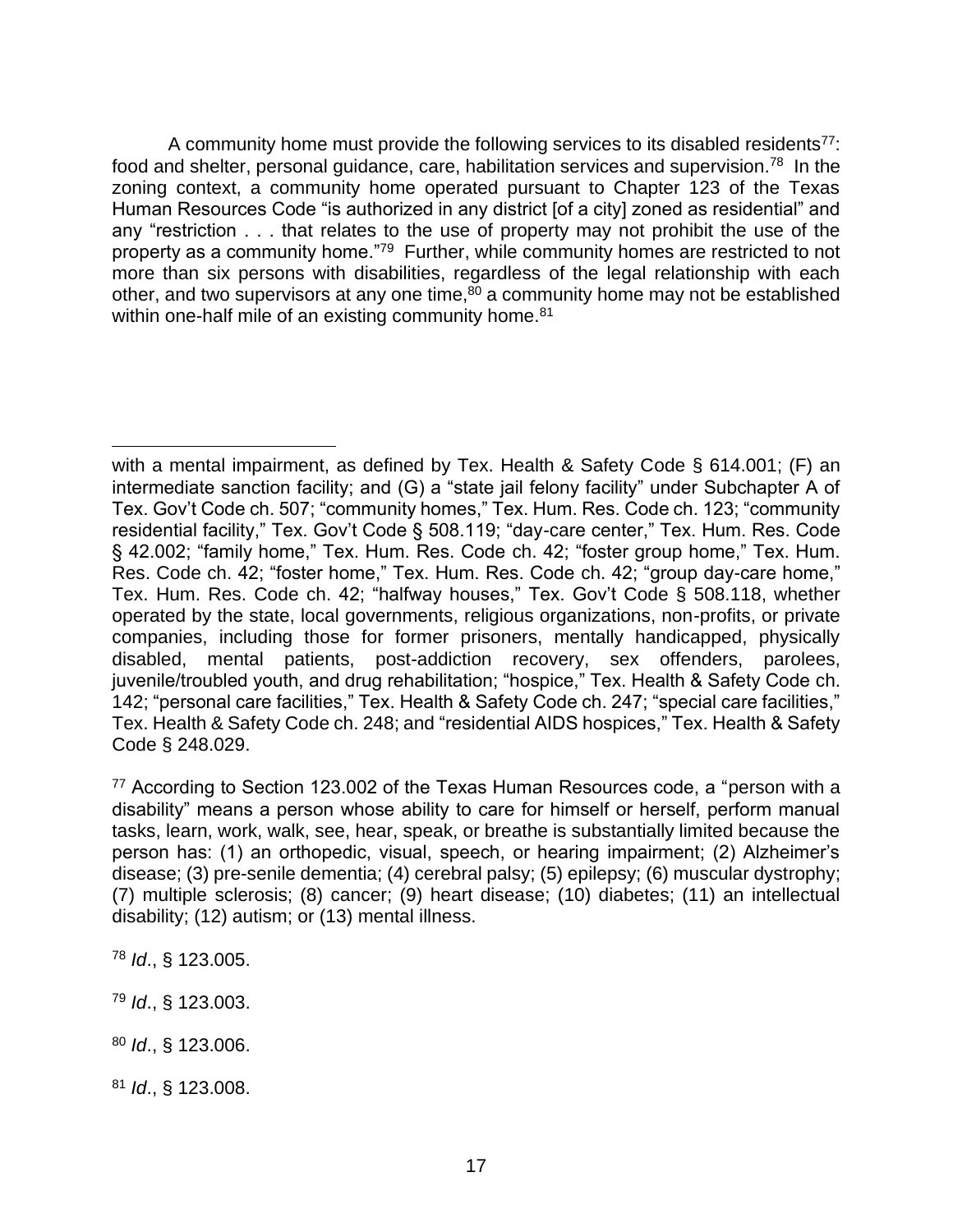A community home must provide the following services to its disabled residents<sup>77</sup>: food and shelter, personal guidance, care, habilitation services and supervision.<sup>78</sup> In the zoning context, a community home operated pursuant to Chapter 123 of the Texas Human Resources Code "is authorized in any district [of a city] zoned as residential" and any "restriction . . . that relates to the use of property may not prohibit the use of the property as a community home."<sup>79</sup> Further, while community homes are restricted to not more than six persons with disabilities, regardless of the legal relationship with each other, and two supervisors at any one time, $80$  a community home may not be established within one-half mile of an existing community home.<sup>81</sup>

<sup>77</sup> According to Section 123.002 of the Texas Human Resources code, a "person with a disability" means a person whose ability to care for himself or herself, perform manual tasks, learn, work, walk, see, hear, speak, or breathe is substantially limited because the person has: (1) an orthopedic, visual, speech, or hearing impairment; (2) Alzheimer's disease; (3) pre-senile dementia; (4) cerebral palsy; (5) epilepsy; (6) muscular dystrophy; (7) multiple sclerosis; (8) cancer; (9) heart disease; (10) diabetes; (11) an intellectual disability; (12) autism; or (13) mental illness.

<sup>78</sup> *Id*., § 123.005.

<sup>79</sup> *Id*., § 123.003.

with a mental impairment, as defined by Tex. Health & Safety Code § 614.001; (F) an intermediate sanction facility; and (G) a "state jail felony facility" under Subchapter A of Tex. Gov't Code ch. 507; "community homes," Tex. Hum. Res. Code ch. 123; "community residential facility," Tex. Gov't Code § 508.119; "day-care center," Tex. Hum. Res. Code § 42.002; "family home," Tex. Hum. Res. Code ch. 42; "foster group home," Tex. Hum. Res. Code ch. 42; "foster home," Tex. Hum. Res. Code ch. 42; "group day-care home," Tex. Hum. Res. Code ch. 42; "halfway houses," Tex. Gov't Code § 508.118, whether operated by the state, local governments, religious organizations, non-profits, or private companies, including those for former prisoners, mentally handicapped, physically disabled, mental patients, post-addiction recovery, sex offenders, parolees, juvenile/troubled youth, and drug rehabilitation; "hospice," Tex. Health & Safety Code ch. 142; "personal care facilities," Tex. Health & Safety Code ch. 247; "special care facilities," Tex. Health & Safety Code ch. 248; and "residential AIDS hospices," Tex. Health & Safety Code § 248.029.

<sup>80</sup> *Id*., § 123.006.

<sup>81</sup> *Id*., § 123.008.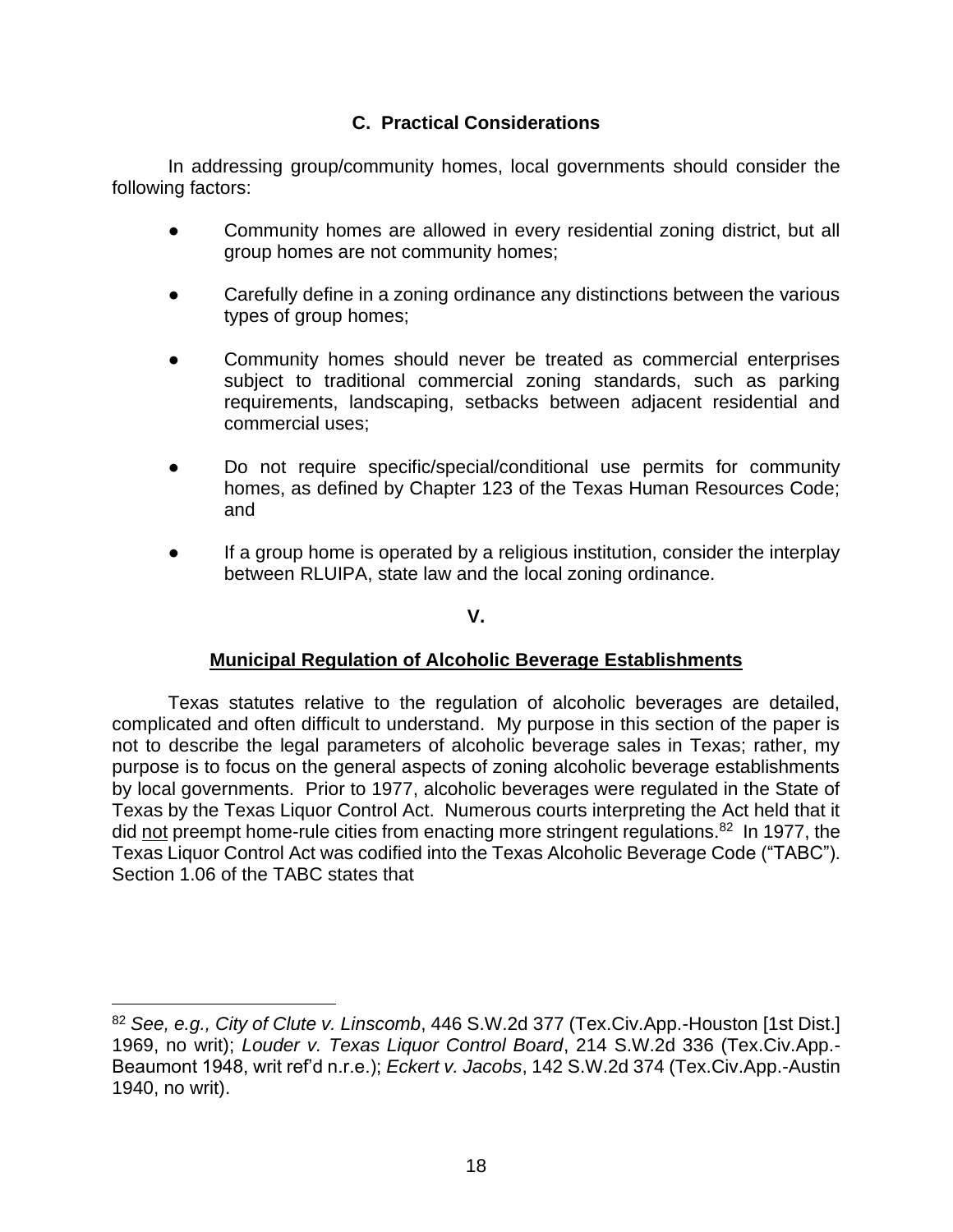# **C. Practical Considerations**

In addressing group/community homes, local governments should consider the following factors:

- Community homes are allowed in every residential zoning district, but all group homes are not community homes;
- Carefully define in a zoning ordinance any distinctions between the various types of group homes;
- Community homes should never be treated as commercial enterprises subject to traditional commercial zoning standards, such as parking requirements, landscaping, setbacks between adjacent residential and commercial uses;
- Do not require specific/special/conditional use permits for community homes, as defined by Chapter 123 of the Texas Human Resources Code; and
- If a group home is operated by a religious institution, consider the interplay between RLUIPA, state law and the local zoning ordinance.

# **V.**

# **Municipal Regulation of Alcoholic Beverage Establishments**

Texas statutes relative to the regulation of alcoholic beverages are detailed, complicated and often difficult to understand. My purpose in this section of the paper is not to describe the legal parameters of alcoholic beverage sales in Texas; rather, my purpose is to focus on the general aspects of zoning alcoholic beverage establishments by local governments. Prior to 1977, alcoholic beverages were regulated in the State of Texas by the Texas Liquor Control Act. Numerous courts interpreting the Act held that it did not preempt home-rule cities from enacting more stringent regulations.<sup>82</sup> In 1977, the Texas Liquor Control Act was codified into the Texas Alcoholic Beverage Code ("TABC"). Section 1.06 of the TABC states that

<sup>82</sup> *See, e.g., City of Clute v. Linscomb*, 446 S.W.2d 377 (Tex.Civ.App.-Houston [1st Dist.] 1969, no writ); *Louder v. Texas Liquor Control Board*, 214 S.W.2d 336 (Tex.Civ.App.- Beaumont 1948, writ ref'd n.r.e.); *Eckert v. Jacobs*, 142 S.W.2d 374 (Tex.Civ.App.-Austin 1940, no writ).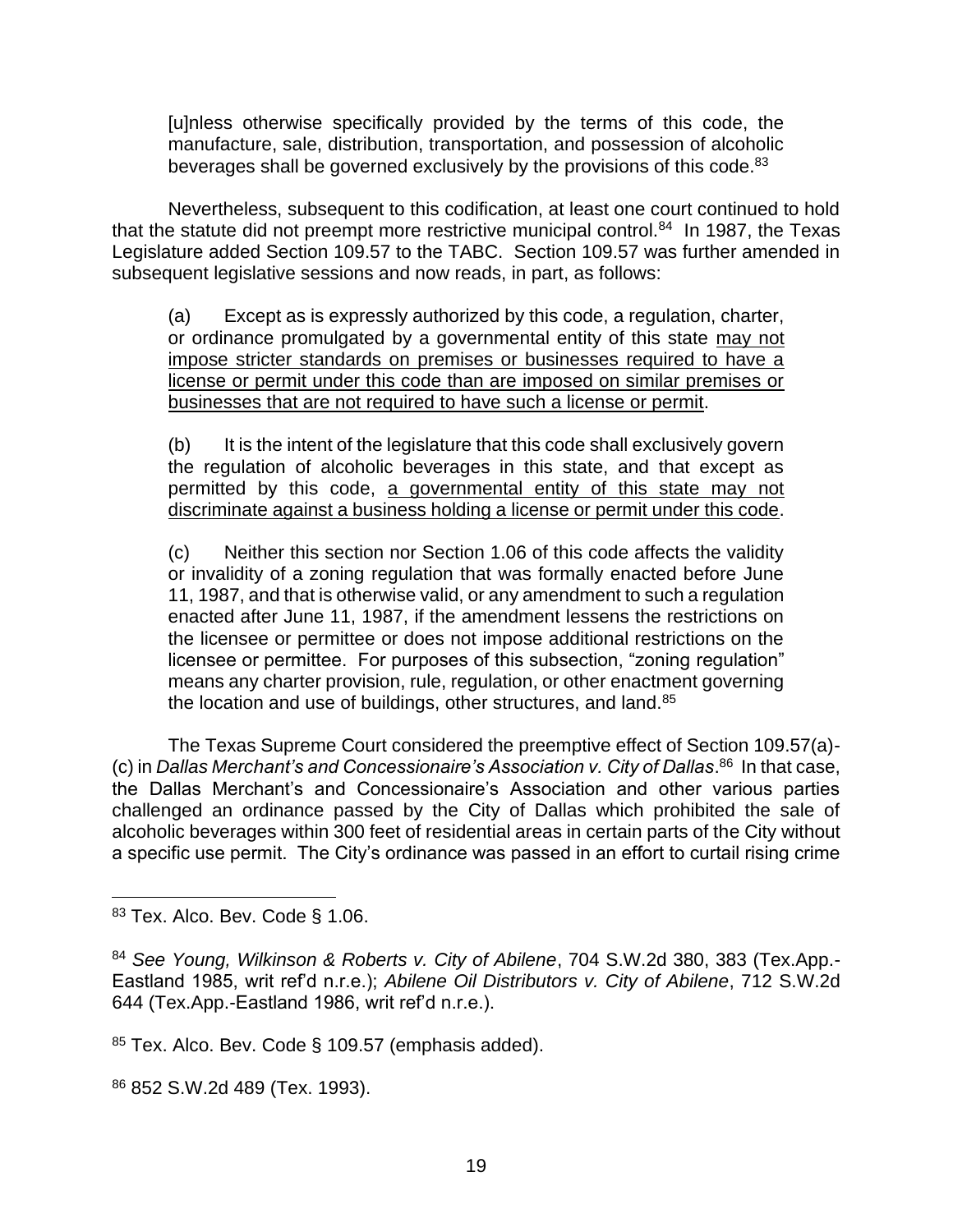[u]nless otherwise specifically provided by the terms of this code, the manufacture, sale, distribution, transportation, and possession of alcoholic beverages shall be governed exclusively by the provisions of this code.<sup>83</sup>

Nevertheless, subsequent to this codification, at least one court continued to hold that the statute did not preempt more restrictive municipal control.<sup>84</sup> In 1987, the Texas Legislature added Section 109.57 to the TABC. Section 109.57 was further amended in subsequent legislative sessions and now reads, in part, as follows:

(a) Except as is expressly authorized by this code, a regulation, charter, or ordinance promulgated by a governmental entity of this state may not impose stricter standards on premises or businesses required to have a license or permit under this code than are imposed on similar premises or businesses that are not required to have such a license or permit.

(b) It is the intent of the legislature that this code shall exclusively govern the regulation of alcoholic beverages in this state, and that except as permitted by this code, a governmental entity of this state may not discriminate against a business holding a license or permit under this code.

(c) Neither this section nor Section 1.06 of this code affects the validity or invalidity of a zoning regulation that was formally enacted before June 11, 1987, and that is otherwise valid, or any amendment to such a regulation enacted after June 11, 1987, if the amendment lessens the restrictions on the licensee or permittee or does not impose additional restrictions on the licensee or permittee. For purposes of this subsection, "zoning regulation" means any charter provision, rule, regulation, or other enactment governing the location and use of buildings, other structures, and land.<sup>85</sup>

The Texas Supreme Court considered the preemptive effect of Section 109.57(a)- (c) in *Dallas Merchant's and Concessionaire's Association v. City of Dallas*. <sup>86</sup> In that case, the Dallas Merchant's and Concessionaire's Association and other various parties challenged an ordinance passed by the City of Dallas which prohibited the sale of alcoholic beverages within 300 feet of residential areas in certain parts of the City without a specific use permit. The City's ordinance was passed in an effort to curtail rising crime

<sup>86</sup> 852 S.W.2d 489 (Tex. 1993).

<sup>83</sup> Tex. Alco. Bev. Code § 1.06.

<sup>84</sup> *See Young, Wilkinson & Roberts v. City of Abilene*, 704 S.W.2d 380, 383 (Tex.App.- Eastland 1985, writ ref'd n.r.e.); *Abilene Oil Distributors v. City of Abilene*, 712 S.W.2d 644 (Tex.App.-Eastland 1986, writ ref'd n.r.e.).

<sup>85</sup> Tex. Alco. Bev. Code § 109.57 (emphasis added).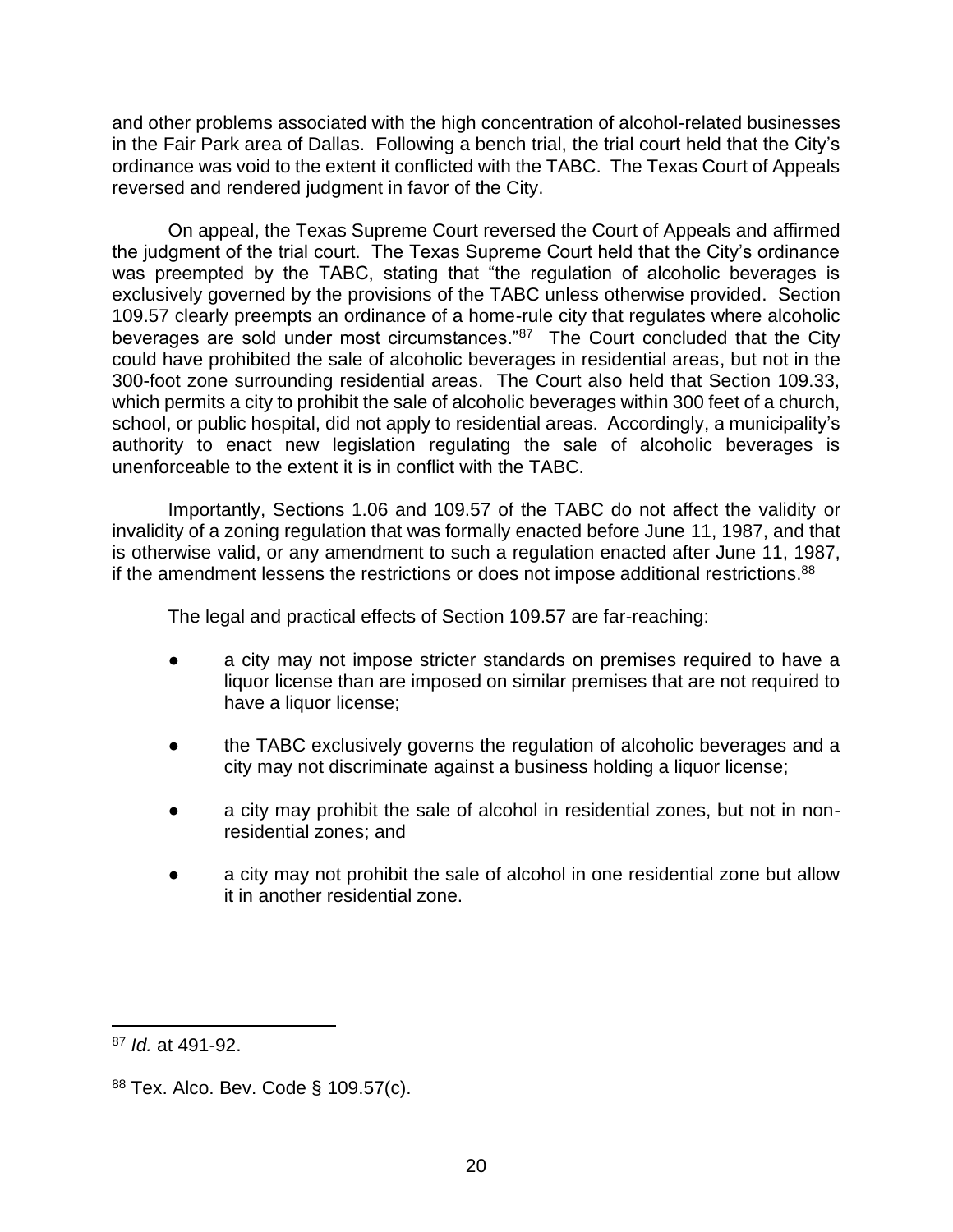and other problems associated with the high concentration of alcohol-related businesses in the Fair Park area of Dallas. Following a bench trial, the trial court held that the City's ordinance was void to the extent it conflicted with the TABC. The Texas Court of Appeals reversed and rendered judgment in favor of the City.

On appeal, the Texas Supreme Court reversed the Court of Appeals and affirmed the judgment of the trial court. The Texas Supreme Court held that the City's ordinance was preempted by the TABC, stating that "the regulation of alcoholic beverages is exclusively governed by the provisions of the TABC unless otherwise provided. Section 109.57 clearly preempts an ordinance of a home-rule city that regulates where alcoholic beverages are sold under most circumstances."<sup>87</sup> The Court concluded that the City could have prohibited the sale of alcoholic beverages in residential areas, but not in the 300-foot zone surrounding residential areas. The Court also held that Section 109.33, which permits a city to prohibit the sale of alcoholic beverages within 300 feet of a church, school, or public hospital, did not apply to residential areas. Accordingly, a municipality's authority to enact new legislation regulating the sale of alcoholic beverages is unenforceable to the extent it is in conflict with the TABC.

Importantly, Sections 1.06 and 109.57 of the TABC do not affect the validity or invalidity of a zoning regulation that was formally enacted before June 11, 1987, and that is otherwise valid, or any amendment to such a regulation enacted after June 11, 1987, if the amendment lessens the restrictions or does not impose additional restrictions. $88$ 

The legal and practical effects of Section 109.57 are far-reaching:

- a city may not impose stricter standards on premises required to have a liquor license than are imposed on similar premises that are not required to have a liquor license;
- the TABC exclusively governs the regulation of alcoholic beverages and a city may not discriminate against a business holding a liquor license;
- a city may prohibit the sale of alcohol in residential zones, but not in nonresidential zones; and
- a city may not prohibit the sale of alcohol in one residential zone but allow it in another residential zone.

<sup>87</sup> *Id.* at 491-92.

<sup>88</sup> Tex. Alco. Bev. Code § 109.57(c).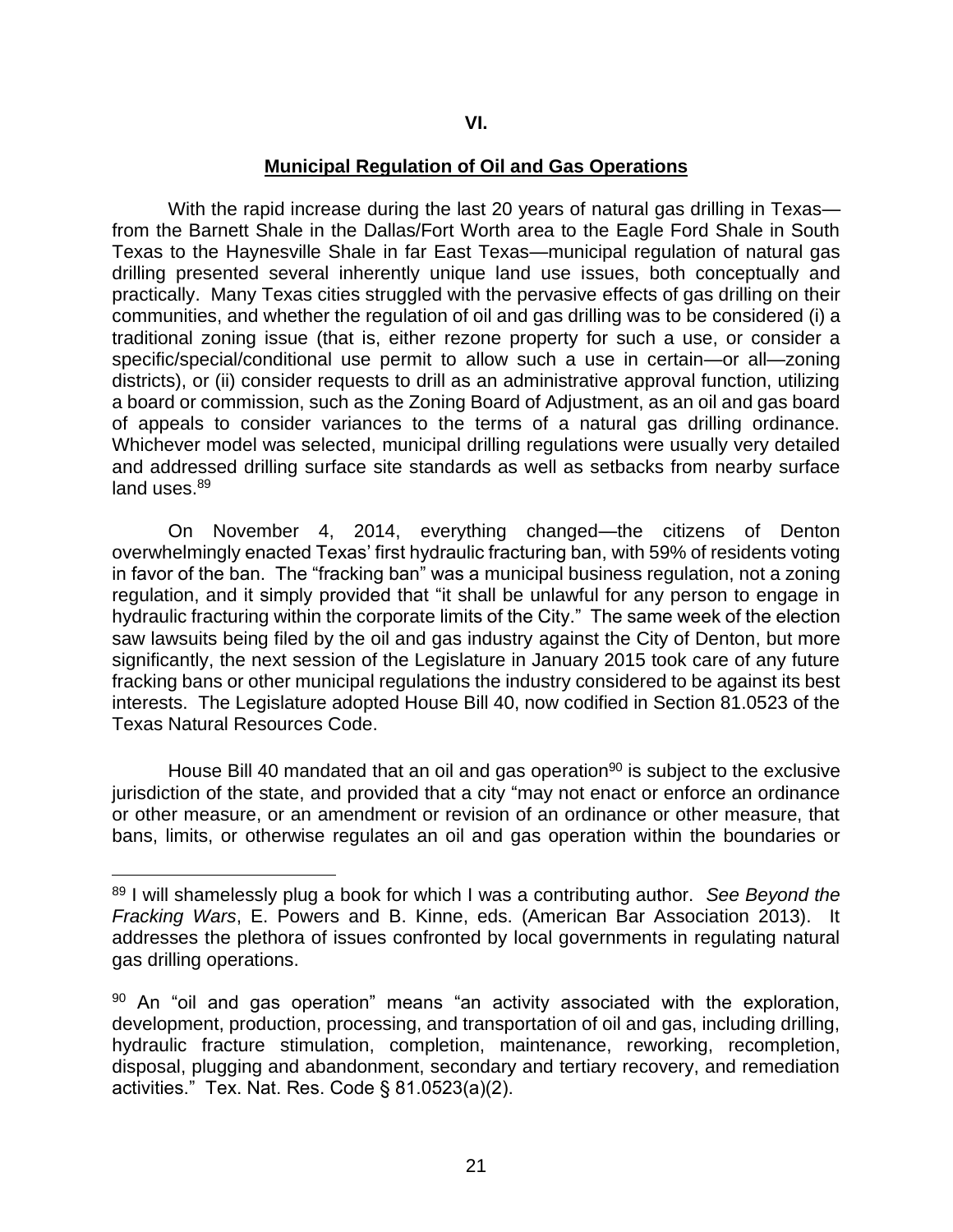#### **Municipal Regulation of Oil and Gas Operations**

With the rapid increase during the last 20 years of natural gas drilling in Texas from the Barnett Shale in the Dallas/Fort Worth area to the Eagle Ford Shale in South Texas to the Haynesville Shale in far East Texas—municipal regulation of natural gas drilling presented several inherently unique land use issues, both conceptually and practically. Many Texas cities struggled with the pervasive effects of gas drilling on their communities, and whether the regulation of oil and gas drilling was to be considered (i) a traditional zoning issue (that is, either rezone property for such a use, or consider a specific/special/conditional use permit to allow such a use in certain—or all—zoning districts), or (ii) consider requests to drill as an administrative approval function, utilizing a board or commission, such as the Zoning Board of Adjustment, as an oil and gas board of appeals to consider variances to the terms of a natural gas drilling ordinance. Whichever model was selected, municipal drilling regulations were usually very detailed and addressed drilling surface site standards as well as setbacks from nearby surface land uses.<sup>89</sup>

On November 4, 2014, everything changed—the citizens of Denton overwhelmingly enacted Texas' first hydraulic fracturing ban, with 59% of residents voting in favor of the ban. The "fracking ban" was a municipal business regulation, not a zoning regulation, and it simply provided that "it shall be unlawful for any person to engage in hydraulic fracturing within the corporate limits of the City." The same week of the election saw lawsuits being filed by the oil and gas industry against the City of Denton, but more significantly, the next session of the Legislature in January 2015 took care of any future fracking bans or other municipal regulations the industry considered to be against its best interests. The Legislature adopted House Bill 40, now codified in Section 81.0523 of the Texas Natural Resources Code.

House Bill 40 mandated that an oil and gas operation<sup>90</sup> is subject to the exclusive jurisdiction of the state, and provided that a city "may not enact or enforce an ordinance or other measure, or an amendment or revision of an ordinance or other measure, that bans, limits, or otherwise regulates an oil and gas operation within the boundaries or

<sup>89</sup> I will shamelessly plug a book for which I was a contributing author. *See Beyond the Fracking Wars*, E. Powers and B. Kinne, eds. (American Bar Association 2013). It addresses the plethora of issues confronted by local governments in regulating natural gas drilling operations.

 $90$  An "oil and gas operation" means "an activity associated with the exploration, development, production, processing, and transportation of oil and gas, including drilling, hydraulic fracture stimulation, completion, maintenance, reworking, recompletion, disposal, plugging and abandonment, secondary and tertiary recovery, and remediation activities." Tex. Nat. Res. Code § 81.0523(a)(2).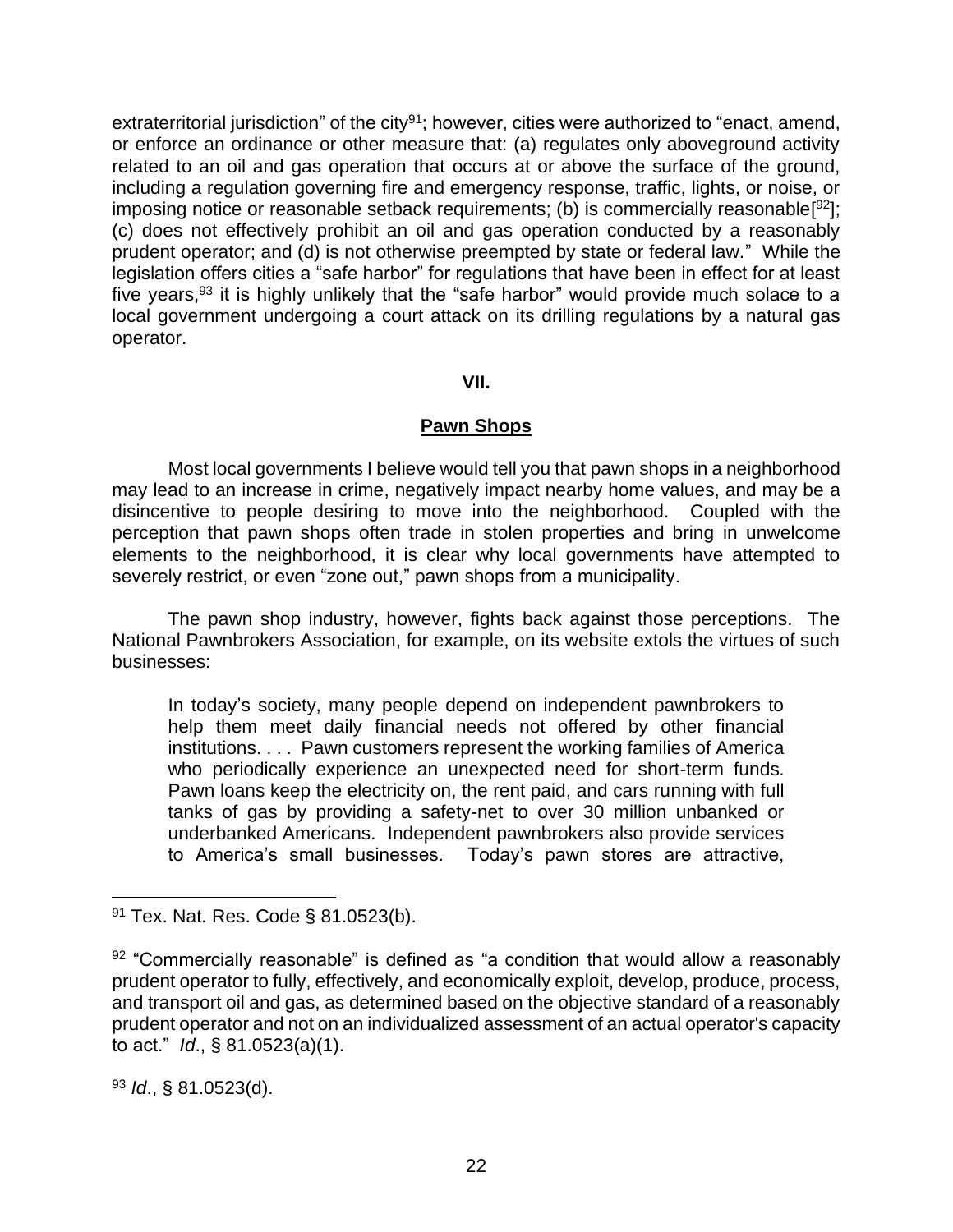extraterritorial jurisdiction" of the city<sup>91</sup>; however, cities were authorized to "enact, amend, or enforce an ordinance or other measure that: (a) regulates only aboveground activity related to an oil and gas operation that occurs at or above the surface of the ground, including a regulation governing fire and emergency response, traffic, lights, or noise, or imposing notice or reasonable setback requirements; (b) is commercially reasonable<sup>[92</sup>]; (c) does not effectively prohibit an oil and gas operation conducted by a reasonably prudent operator; and (d) is not otherwise preempted by state or federal law." While the legislation offers cities a "safe harbor" for regulations that have been in effect for at least five years,<sup>93</sup> it is highly unlikely that the "safe harbor" would provide much solace to a local government undergoing a court attack on its drilling regulations by a natural gas operator.

#### **VII.**

# **Pawn Shops**

Most local governments I believe would tell you that pawn shops in a neighborhood may lead to an increase in crime, negatively impact nearby home values, and may be a disincentive to people desiring to move into the neighborhood. Coupled with the perception that pawn shops often trade in stolen properties and bring in unwelcome elements to the neighborhood, it is clear why local governments have attempted to severely restrict, or even "zone out," pawn shops from a municipality.

The pawn shop industry, however, fights back against those perceptions. The National Pawnbrokers Association, for example, on its website extols the virtues of such businesses:

In today's society, many people depend on independent pawnbrokers to help them meet daily financial needs not offered by other financial institutions. . . . Pawn customers represent the working families of America who periodically experience an unexpected need for short-term funds. Pawn loans keep the electricity on, the rent paid, and cars running with full tanks of gas by providing a safety-net to over 30 million unbanked or underbanked Americans. Independent pawnbrokers also provide services to America's small businesses. Today's pawn stores are attractive,

<sup>93</sup> *Id*., § 81.0523(d).

<sup>91</sup> Tex. Nat. Res. Code § 81.0523(b).

 $92$  "Commercially reasonable" is defined as "a condition that would allow a reasonably prudent operator to fully, effectively, and economically exploit, develop, produce, process, and transport oil and gas, as determined based on the objective standard of a reasonably prudent operator and not on an individualized assessment of an actual operator's capacity to act." *Id*., § 81.0523(a)(1).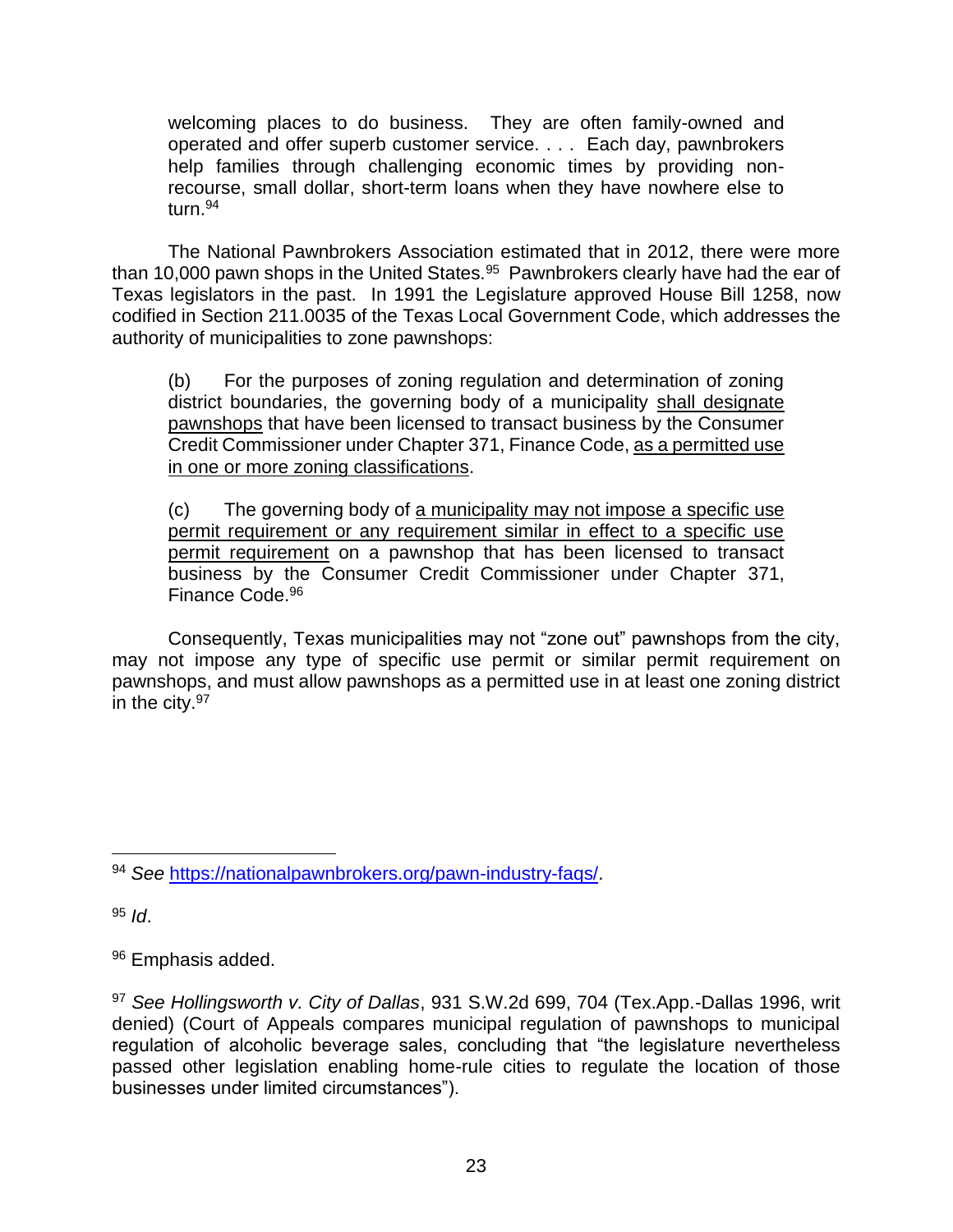welcoming places to do business. They are often family-owned and operated and offer superb customer service. . . . Each day, pawnbrokers help families through challenging economic times by providing nonrecourse, small dollar, short-term loans when they have nowhere else to turn.<sup>94</sup>

The National Pawnbrokers Association estimated that in 2012, there were more than 10,000 pawn shops in the United States. $95$  Pawnbrokers clearly have had the ear of Texas legislators in the past. In 1991 the Legislature approved House Bill 1258, now codified in Section 211.0035 of the Texas Local Government Code, which addresses the authority of municipalities to zone pawnshops:

(b) For the purposes of zoning regulation and determination of zoning district boundaries, the governing body of a municipality shall designate pawnshops that have been licensed to transact business by the Consumer Credit Commissioner under Chapter 371, Finance Code, as a permitted use in one or more zoning classifications.

(c) The governing body of a municipality may not impose a specific use permit requirement or any requirement similar in effect to a specific use permit requirement on a pawnshop that has been licensed to transact business by the Consumer Credit Commissioner under Chapter 371, Finance Code.<sup>96</sup>

Consequently, Texas municipalities may not "zone out" pawnshops from the city, may not impose any type of specific use permit or similar permit requirement on pawnshops, and must allow pawnshops as a permitted use in at least one zoning district in the city.<sup>97</sup>

<sup>95</sup> *Id*.

<sup>94</sup> *See* [https://nationalpawnbrokers.org/pawn-industry-faqs/.](https://nationalpawnbrokers.org/pawn-industry-faqs/)

<sup>96</sup> Emphasis added.

<sup>97</sup> *See Hollingsworth v. City of Dallas*, 931 S.W.2d 699, 704 (Tex.App.-Dallas 1996, writ denied) (Court of Appeals compares municipal regulation of pawnshops to municipal regulation of alcoholic beverage sales, concluding that "the legislature nevertheless passed other legislation enabling home-rule cities to regulate the location of those businesses under limited circumstances").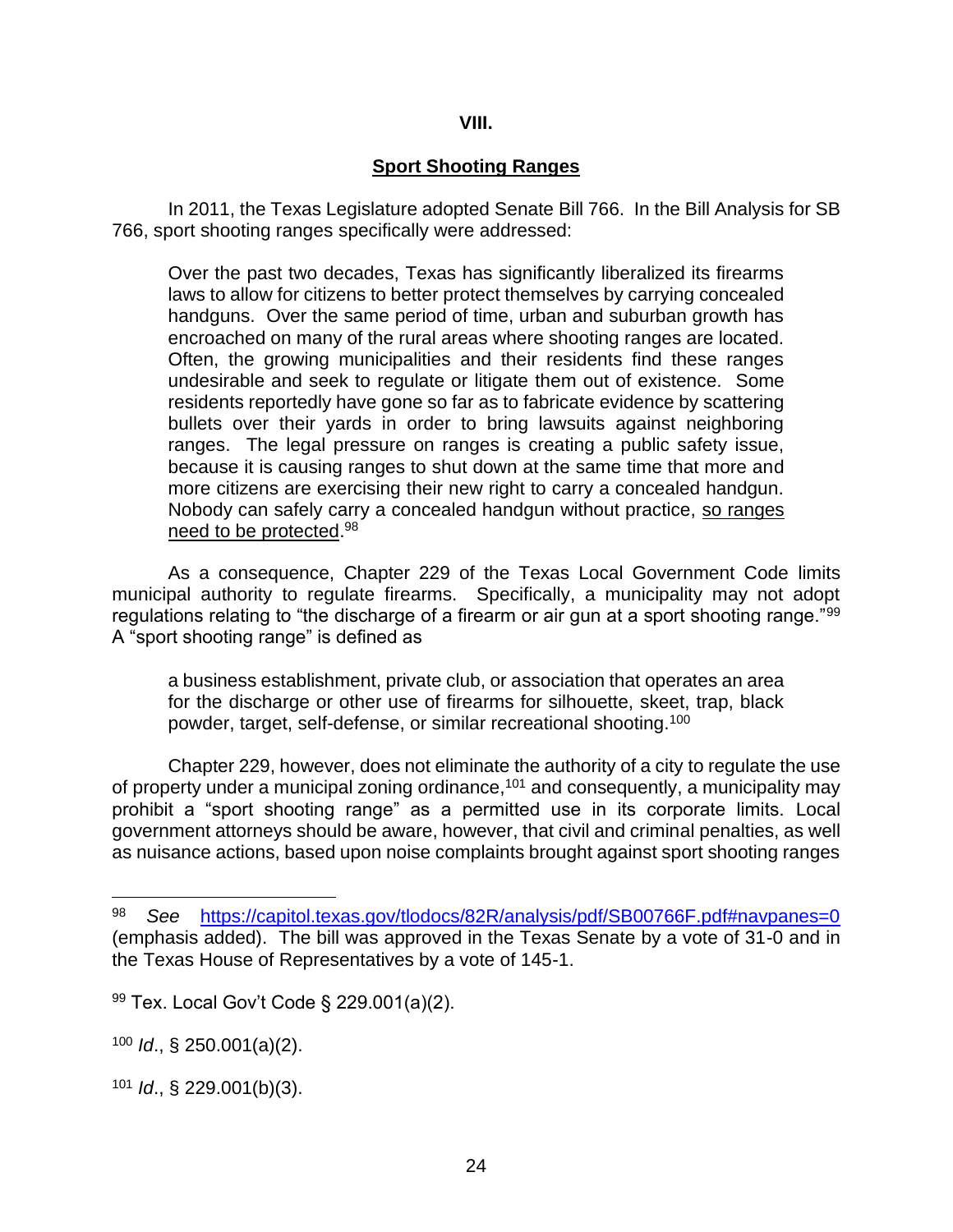# **VIII.**

# **Sport Shooting Ranges**

In 2011, the Texas Legislature adopted Senate Bill 766. In the Bill Analysis for SB 766, sport shooting ranges specifically were addressed:

Over the past two decades, Texas has significantly liberalized its firearms laws to allow for citizens to better protect themselves by carrying concealed handguns. Over the same period of time, urban and suburban growth has encroached on many of the rural areas where shooting ranges are located. Often, the growing municipalities and their residents find these ranges undesirable and seek to regulate or litigate them out of existence. Some residents reportedly have gone so far as to fabricate evidence by scattering bullets over their yards in order to bring lawsuits against neighboring ranges. The legal pressure on ranges is creating a public safety issue, because it is causing ranges to shut down at the same time that more and more citizens are exercising their new right to carry a concealed handgun. Nobody can safely carry a concealed handgun without practice, so ranges need to be protected.<sup>98</sup>

As a consequence, Chapter 229 of the Texas Local Government Code limits municipal authority to regulate firearms. Specifically, a municipality may not adopt regulations relating to "the discharge of a firearm or air gun at a sport shooting range." $^{99}$ A "sport shooting range" is defined as

a business establishment, private club, or association that operates an area for the discharge or other use of firearms for silhouette, skeet, trap, black powder, target, self-defense, or similar recreational shooting.<sup>100</sup>

Chapter 229, however, does not eliminate the authority of a city to regulate the use of property under a municipal zoning ordinance,<sup>101</sup> and consequently, a municipality may prohibit a "sport shooting range" as a permitted use in its corporate limits. Local government attorneys should be aware, however, that civil and criminal penalties, as well as nuisance actions, based upon noise complaints brought against sport shooting ranges

<sup>98</sup> *See* <https://capitol.texas.gov/tlodocs/82R/analysis/pdf/SB00766F.pdf#navpanes=0> (emphasis added). The bill was approved in the Texas Senate by a vote of 31-0 and in the Texas House of Representatives by a vote of 145-1.

<sup>99</sup> Tex. Local Gov't Code § 229.001(a)(2).

<sup>100</sup> *Id*., § 250.001(a)(2).

<sup>101</sup> *Id*., § 229.001(b)(3).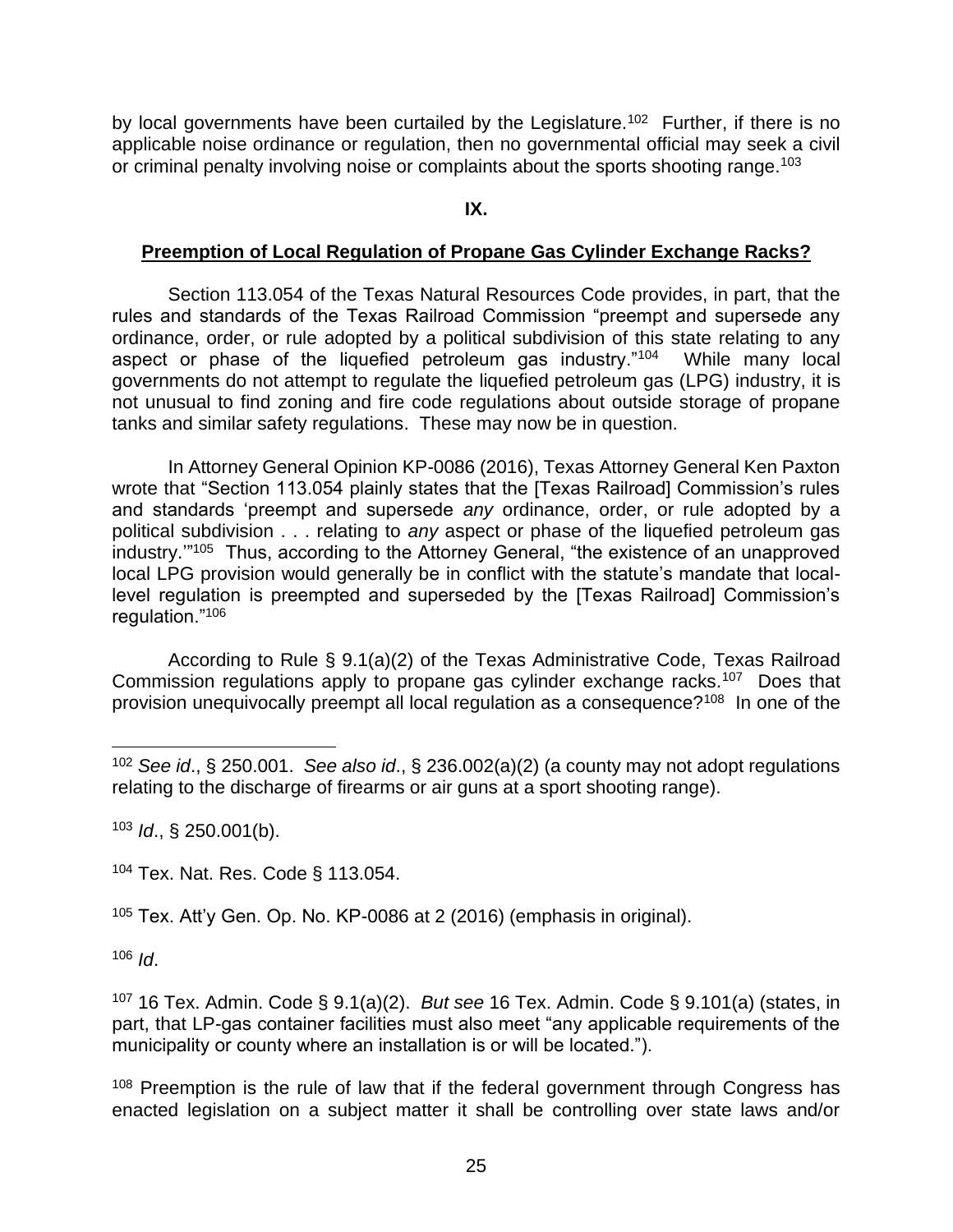by local governments have been curtailed by the Legislature.<sup>102</sup> Further, if there is no applicable noise ordinance or regulation, then no governmental official may seek a civil or criminal penalty involving noise or complaints about the sports shooting range.<sup>103</sup>

#### **IX.**

# **Preemption of Local Regulation of Propane Gas Cylinder Exchange Racks?**

Section 113.054 of the Texas Natural Resources Code provides, in part, that the rules and standards of the Texas Railroad Commission "preempt and supersede any ordinance, order, or rule adopted by a political subdivision of this state relating to any aspect or phase of the liquefied petroleum gas industry."<sup>104</sup> While many local governments do not attempt to regulate the liquefied petroleum gas (LPG) industry, it is not unusual to find zoning and fire code regulations about outside storage of propane tanks and similar safety regulations. These may now be in question.

In Attorney General Opinion KP-0086 (2016), Texas Attorney General Ken Paxton wrote that "Section 113.054 plainly states that the [Texas Railroad] Commission's rules and standards 'preempt and supersede *any* ordinance, order, or rule adopted by a political subdivision . . . relating to *any* aspect or phase of the liquefied petroleum gas industry.'" 105 Thus, according to the Attorney General, "the existence of an unapproved local LPG provision would generally be in conflict with the statute's mandate that locallevel regulation is preempted and superseded by the [Texas Railroad] Commission's regulation."<sup>106</sup>

According to Rule § 9.1(a)(2) of the Texas Administrative Code, Texas Railroad Commission regulations apply to propane gas cylinder exchange racks.<sup>107</sup> Does that provision unequivocally preempt all local regulation as a consequence?<sup>108</sup> In one of the

<sup>103</sup> *Id*., § 250.001(b).

<sup>104</sup> Tex. Nat. Res. Code § 113.054.

<sup>105</sup> Tex. Att'y Gen. Op. No. KP-0086 at 2 (2016) (emphasis in original).

 $106$  *Id.* 

<sup>107</sup> 16 Tex. Admin. Code § 9.1(a)(2). *But see* 16 Tex. Admin. Code § 9.101(a) (states, in part, that LP-gas container facilities must also meet "any applicable requirements of the municipality or county where an installation is or will be located.").

<sup>108</sup> Preemption is the rule of law that if the federal government through Congress has enacted legislation on a subject matter it shall be controlling over state laws and/or

<sup>102</sup> *See id*., § 250.001. *See also id*., § 236.002(a)(2) (a county may not adopt regulations relating to the discharge of firearms or air guns at a sport shooting range).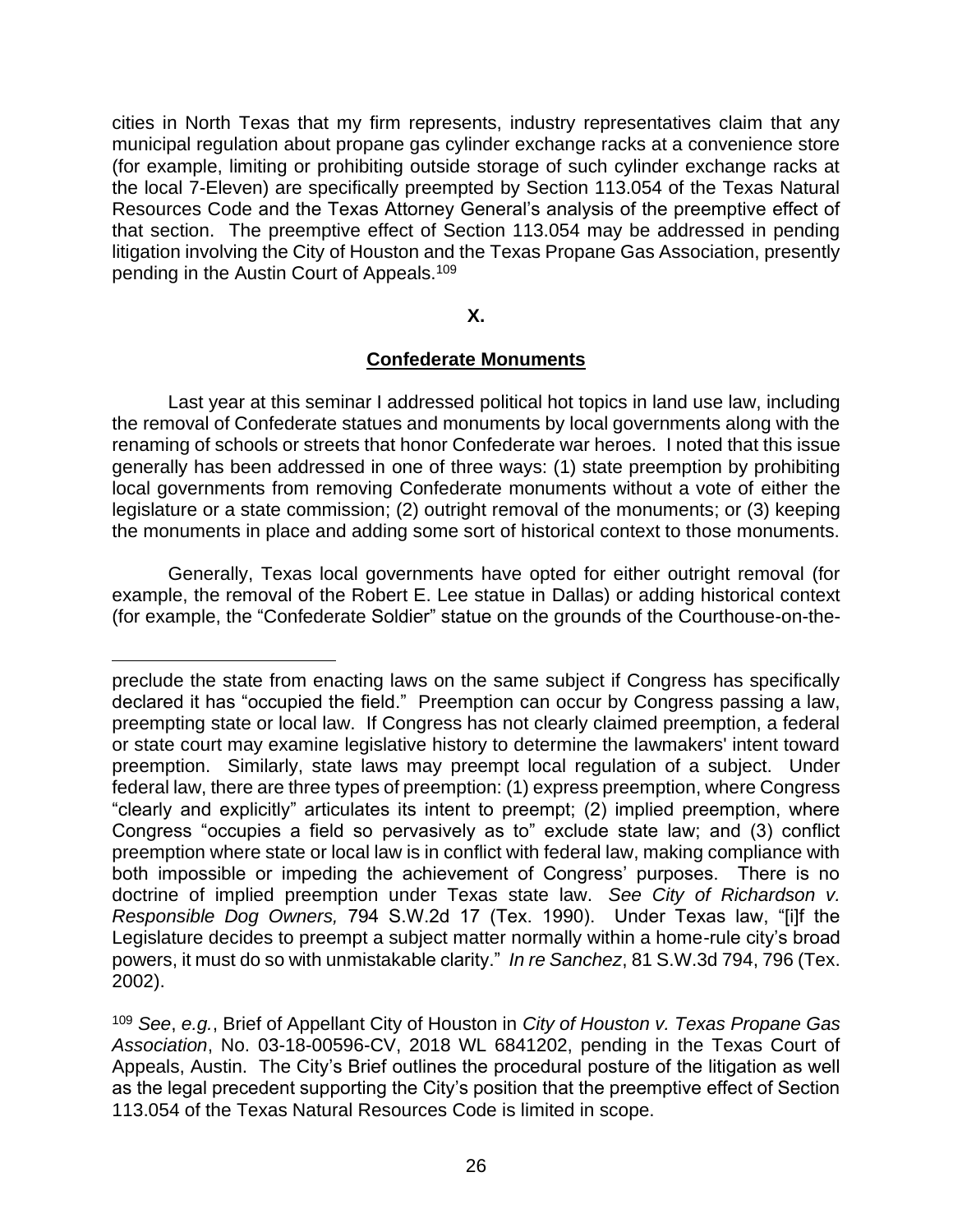cities in North Texas that my firm represents, industry representatives claim that any municipal regulation about propane gas cylinder exchange racks at a convenience store (for example, limiting or prohibiting outside storage of such cylinder exchange racks at the local 7-Eleven) are specifically preempted by Section 113.054 of the Texas Natural Resources Code and the Texas Attorney General's analysis of the preemptive effect of that section. The preemptive effect of Section 113.054 may be addressed in pending litigation involving the City of Houston and the Texas Propane Gas Association, presently pending in the Austin Court of Appeals.<sup>109</sup>

#### **X.**

# **Confederate Monuments**

Last year at this seminar I addressed political hot topics in land use law, including the removal of Confederate statues and monuments by local governments along with the renaming of schools or streets that honor Confederate war heroes. I noted that this issue generally has been addressed in one of three ways: (1) state preemption by prohibiting local governments from removing Confederate monuments without a vote of either the legislature or a state commission; (2) outright removal of the monuments; or (3) keeping the monuments in place and adding some sort of historical context to those monuments.

Generally, Texas local governments have opted for either outright removal (for example, the removal of the Robert E. Lee statue in Dallas) or adding historical context (for example, the "Confederate Soldier" statue on the grounds of the Courthouse-on-the-

preclude the state from enacting laws on the same subject if Congress has specifically declared it has "occupied the field." Preemption can occur by Congress passing a law, preempting state or local law. If Congress has not clearly claimed preemption, a federal or state court may examine legislative history to determine the lawmakers' intent toward preemption. Similarly, state laws may preempt local regulation of a subject. Under federal law, there are three types of preemption: (1) express preemption, where Congress "clearly and explicitly" articulates its intent to preempt; (2) implied preemption, where Congress "occupies a field so pervasively as to" exclude state law; and (3) conflict preemption where state or local law is in conflict with federal law, making compliance with both impossible or impeding the achievement of Congress' purposes. There is no doctrine of implied preemption under Texas state law. *See City of Richardson v. Responsible Dog Owners,* 794 S.W.2d 17 (Tex. 1990). Under Texas law, "[i]f the Legislature decides to preempt a subject matter normally within a home-rule city's broad powers, it must do so with unmistakable clarity." *In re Sanchez*, 81 S.W.3d 794, 796 (Tex. 2002).

<sup>109</sup> *See*, *e.g.*, Brief of Appellant City of Houston in *City of Houston v. Texas Propane Gas Association*, No. 03-18-00596-CV, 2018 WL 6841202, pending in the Texas Court of Appeals, Austin. The City's Brief outlines the procedural posture of the litigation as well as the legal precedent supporting the City's position that the preemptive effect of Section 113.054 of the Texas Natural Resources Code is limited in scope.